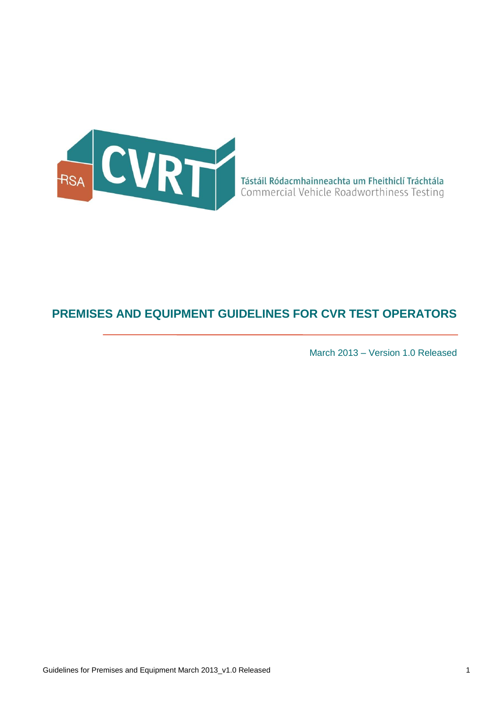

# **PREMISES AND EQUIPMENT GUIDELINES FOR CVR TEST OPERATORS**

March 2013 – Version 1.0 Released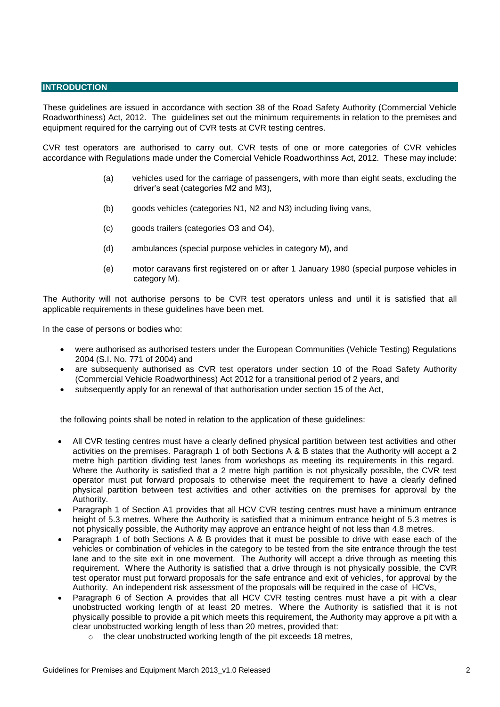#### **INTRODUCTION**

These guidelines are issued in accordance with section 38 of the Road Safety Authority (Commercial Vehicle Roadworthiness) Act, 2012. The guidelines set out the minimum requirements in relation to the premises and equipment required for the carrying out of CVR tests at CVR testing centres.

CVR test operators are authorised to carry out, CVR tests of one or more categories of CVR vehicles accordance with Regulations made under the Comercial Vehicle Roadworthinss Act, 2012. These may include:

- (a) vehicles used for the carriage of passengers, with more than eight seats, excluding the driver's seat (categories M2 and M3),
- (b) goods vehicles (categories N1, N2 and N3) including living vans,
- (c) goods trailers (categories O3 and O4),
- (d) ambulances (special purpose vehicles in category M), and
- (e) motor caravans first registered on or after 1 January 1980 (special purpose vehicles in category M).

The Authority will not authorise persons to be CVR test operators unless and until it is satisfied that all applicable requirements in these guidelines have been met.

In the case of persons or bodies who:

- were authorised as authorised testers under the European Communities (Vehicle Testing) Regulations 2004 (S.I. No. 771 of 2004) and
- are subsequenly authorised as CVR test operators under section 10 of the Road Safety Authority (Commercial Vehicle Roadworthiness) Act 2012 for a transitional period of 2 years, and
- subsequently apply for an renewal of that authorisation under section 15 of the Act,

the following points shall be noted in relation to the application of these guidelines:

- All CVR testing centres must have a clearly defined physical partition between test activities and other activities on the premises. Paragraph 1 of both Sections A & B states that the Authority will accept a 2 metre high partition dividing test lanes from workshops as meeting its requirements in this regard. Where the Authority is satisfied that a 2 metre high partition is not physically possible, the CVR test operator must put forward proposals to otherwise meet the requirement to have a clearly defined physical partition between test activities and other activities on the premises for approval by the Authority.
- Paragraph 1 of Section A1 provides that all HCV CVR testing centres must have a minimum entrance height of 5.3 metres. Where the Authority is satisfied that a minimum entrance height of 5.3 metres is not physically possible, the Authority may approve an entrance height of not less than 4.8 metres.
- Paragraph 1 of both Sections A & B provides that it must be possible to drive with ease each of the vehicles or combination of vehicles in the category to be tested from the site entrance through the test lane and to the site exit in one movement. The Authority will accept a drive through as meeting this requirement. Where the Authority is satisfied that a drive through is not physically possible, the CVR test operator must put forward proposals for the safe entrance and exit of vehicles, for approval by the Authority. An independent risk assessment of the proposals will be required in the case of HCVs,
- Paragraph 6 of Section A provides that all HCV CVR testing centres must have a pit with a clear unobstructed working length of at least 20 metres. Where the Authority is satisfied that it is not physically possible to provide a pit which meets this requirement, the Authority may approve a pit with a clear unobstructed working length of less than 20 metres, provided that:
	- $\circ$  the clear unobstructed working length of the pit exceeds 18 metres,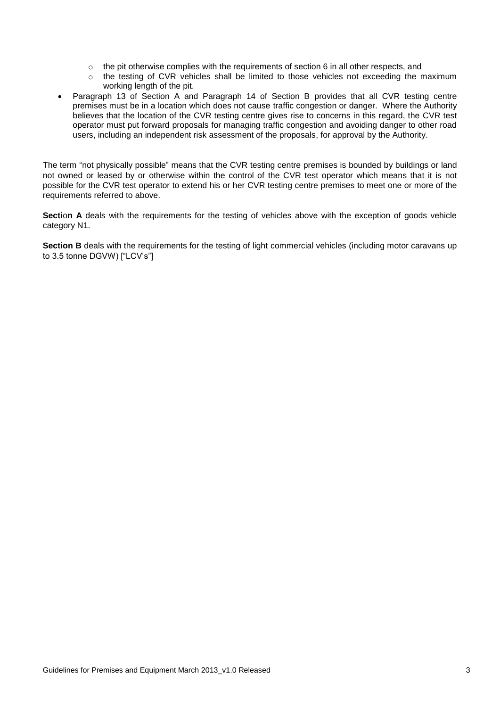- $\circ$  the pit otherwise complies with the requirements of section 6 in all other respects, and
- o the testing of CVR vehicles shall be limited to those vehicles not exceeding the maximum working length of the pit.
- Paragraph 13 of Section A and Paragraph 14 of Section B provides that all CVR testing centre premises must be in a location which does not cause traffic congestion or danger. Where the Authority believes that the location of the CVR testing centre gives rise to concerns in this regard, the CVR test operator must put forward proposals for managing traffic congestion and avoiding danger to other road users, including an independent risk assessment of the proposals, for approval by the Authority.

The term "not physically possible" means that the CVR testing centre premises is bounded by buildings or land not owned or leased by or otherwise within the control of the CVR test operator which means that it is not possible for the CVR test operator to extend his or her CVR testing centre premises to meet one or more of the requirements referred to above.

**Section A** deals with the requirements for the testing of vehicles above with the exception of goods vehicle category N1.

**Section B** deals with the requirements for the testing of light commercial vehicles (including motor caravans up to 3.5 tonne DGVW) ["LCV's"]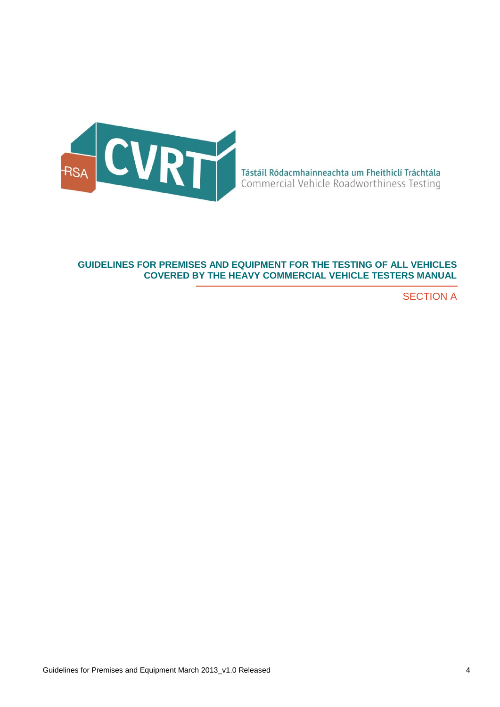

## **GUIDELINES FOR PREMISES AND EQUIPMENT FOR THE TESTING OF ALL VEHICLES COVERED BY THE HEAVY COMMERCIAL VEHICLE TESTERS MANUAL**

SECTION A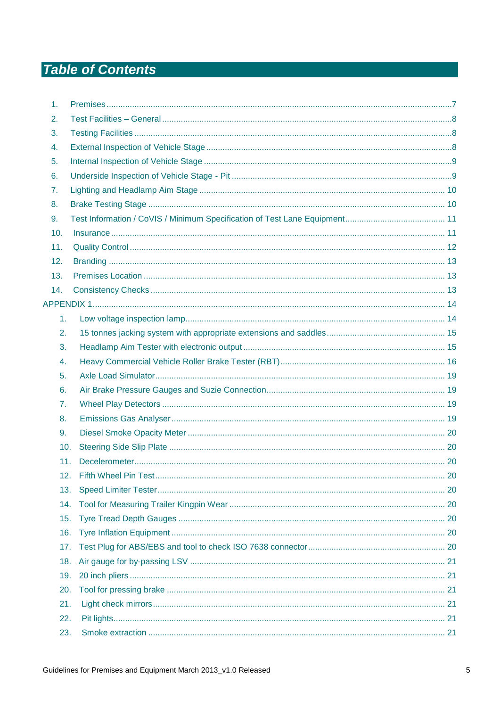# **Table of Contents**

| 1.             |  |
|----------------|--|
| 2.             |  |
| 3.             |  |
| 4.             |  |
| 5.             |  |
| 6.             |  |
| 7.             |  |
| 8.             |  |
| 9.             |  |
| 10.            |  |
| 11.            |  |
| 12.            |  |
| 13.            |  |
| 14.            |  |
|                |  |
| 1.             |  |
| 2.             |  |
| 3.             |  |
| 4.             |  |
| 5.             |  |
| 6.             |  |
| 7 <sub>1</sub> |  |
| 8.             |  |
| 9.             |  |
| 10.            |  |
| 11.            |  |
| 12.            |  |
| 13.            |  |
| 14.            |  |
| 15.            |  |
| 16.            |  |
| 17.            |  |
| 18.            |  |
| 19.            |  |
| 20.            |  |
| 21.            |  |
| 22.            |  |
| 23.            |  |
|                |  |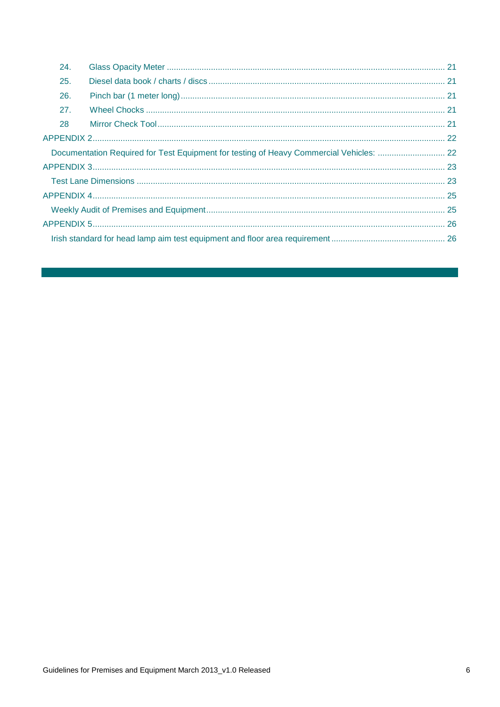| 24. |  |
|-----|--|
| 25. |  |
| 26. |  |
| 27. |  |
| 28  |  |
|     |  |
|     |  |
|     |  |
|     |  |
|     |  |
|     |  |
|     |  |
|     |  |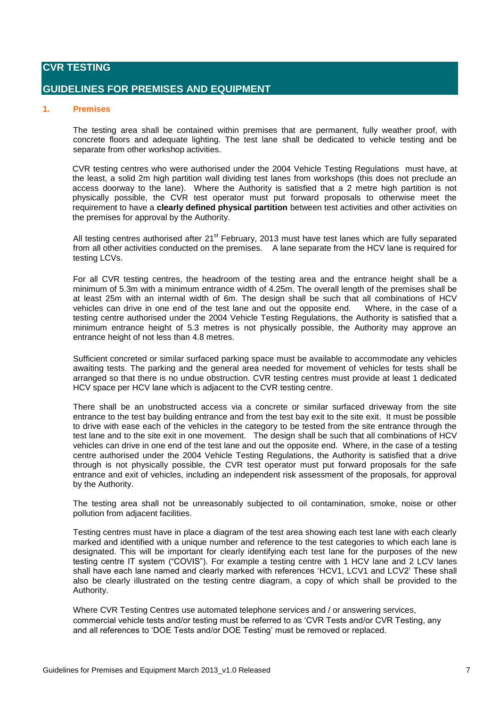## **CVR TESTING**

## **GUIDELINES FOR PREMISES AND EQUIPMENT**

#### <span id="page-6-0"></span>**1. Premises**

The testing area shall be contained within premises that are permanent, fully weather proof, with concrete floors and adequate lighting. The test lane shall be dedicated to vehicle testing and be separate from other workshop activities.

CVR testing centres who were authorised under the 2004 Vehicle Testing Regulations must have, at the least, a solid 2m high partition wall dividing test lanes from workshops (this does not preclude an access doorway to the lane). Where the Authority is satisfied that a 2 metre high partition is not physically possible, the CVR test operator must put forward proposals to otherwise meet the requirement to have a **clearly defined physical partition** between test activities and other activities on the premises for approval by the Authority.

All testing centres authorised after 21<sup>st</sup> February, 2013 must have test lanes which are fully separated from all other activities conducted on the premises. A lane separate from the HCV lane is required for testing LCVs.

For all CVR testing centres, the headroom of the testing area and the entrance height shall be a minimum of 5.3m with a minimum entrance width of 4.25m. The overall length of the premises shall be at least 25m with an internal width of 6m. The design shall be such that all combinations of HCV vehicles can drive in one end of the test lane and out the opposite end. Where, in the case of a testing centre authorised under the 2004 Vehicle Testing Regulations, the Authority is satisfied that a minimum entrance height of 5.3 metres is not physically possible, the Authority may approve an entrance height of not less than 4.8 metres.

Sufficient concreted or similar surfaced parking space must be available to accommodate any vehicles awaiting tests. The parking and the general area needed for movement of vehicles for tests shall be arranged so that there is no undue obstruction. CVR testing centres must provide at least 1 dedicated HCV space per HCV lane which is adjacent to the CVR testing centre.

There shall be an unobstructed access via a concrete or similar surfaced driveway from the site entrance to the test bay building entrance and from the test bay exit to the site exit. It must be possible to drive with ease each of the vehicles in the category to be tested from the site entrance through the test lane and to the site exit in one movement. The design shall be such that all combinations of HCV vehicles can drive in one end of the test lane and out the opposite end. Where, in the case of a testing centre authorised under the 2004 Vehicle Testing Regulations, the Authority is satisfied that a drive through is not physically possible, the CVR test operator must put forward proposals for the safe entrance and exit of vehicles, including an independent risk assessment of the proposals, for approval by the Authority.

The testing area shall not be unreasonably subjected to oil contamination, smoke, noise or other pollution from adjacent facilities.

Testing centres must have in place a diagram of the test area showing each test lane with each clearly marked and identified with a unique number and reference to the test categories to which each lane is designated. This will be important for clearly identifying each test lane for the purposes of the new testing centre IT system ("COVIS"). For example a testing centre with 1 HCV lane and 2 LCV lanes shall have each lane named and clearly marked with references 'HCV1, LCV1 and LCV2' These shall also be clearly illustrated on the testing centre diagram, a copy of which shall be provided to the Authority.

Where CVR Testing Centres use automated telephone services and / or answering services, commercial vehicle tests and/or testing must be referred to as 'CVR Tests and/or CVR Testing, any and all references to 'DOE Tests and/or DOE Testing' must be removed or replaced.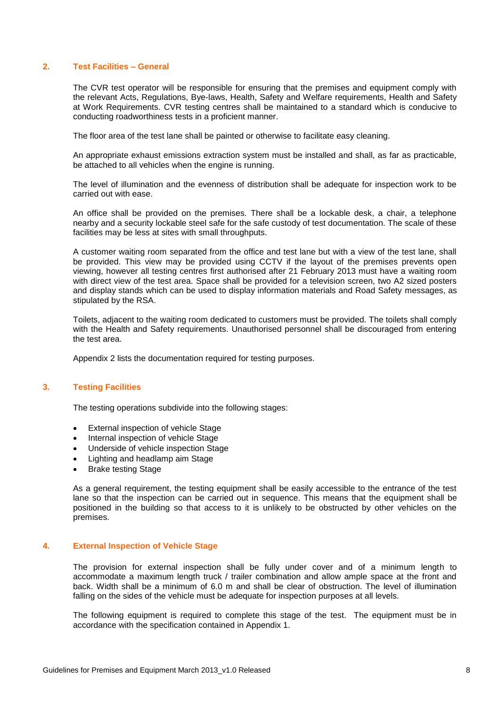#### <span id="page-7-0"></span>**2. Test Facilities – General**

The CVR test operator will be responsible for ensuring that the premises and equipment comply with the relevant Acts, Regulations, Bye-laws, Health, Safety and Welfare requirements, Health and Safety at Work Requirements. CVR testing centres shall be maintained to a standard which is conducive to conducting roadworthiness tests in a proficient manner.

The floor area of the test lane shall be painted or otherwise to facilitate easy cleaning.

An appropriate exhaust emissions extraction system must be installed and shall, as far as practicable, be attached to all vehicles when the engine is running.

The level of illumination and the evenness of distribution shall be adequate for inspection work to be carried out with ease.

An office shall be provided on the premises. There shall be a lockable desk, a chair, a telephone nearby and a security lockable steel safe for the safe custody of test documentation. The scale of these facilities may be less at sites with small throughputs.

A customer waiting room separated from the office and test lane but with a view of the test lane, shall be provided. This view may be provided using CCTV if the layout of the premises prevents open viewing, however all testing centres first authorised after 21 February 2013 must have a waiting room with direct view of the test area. Space shall be provided for a television screen, two A2 sized posters and display stands which can be used to display information materials and Road Safety messages, as stipulated by the RSA.

Toilets, adjacent to the waiting room dedicated to customers must be provided. The toilets shall comply with the Health and Safety requirements. Unauthorised personnel shall be discouraged from entering the test area.

Appendix 2 lists the documentation required for testing purposes.

#### <span id="page-7-1"></span>**3. Testing Facilities**

The testing operations subdivide into the following stages:

- External inspection of vehicle Stage
- Internal inspection of vehicle Stage
- Underside of vehicle inspection Stage
- Lighting and headlamp aim Stage
- Brake testing Stage

As a general requirement, the testing equipment shall be easily accessible to the entrance of the test lane so that the inspection can be carried out in sequence. This means that the equipment shall be positioned in the building so that access to it is unlikely to be obstructed by other vehicles on the premises.

#### <span id="page-7-2"></span>**4. External Inspection of Vehicle Stage**

The provision for external inspection shall be fully under cover and of a minimum length to accommodate a maximum length truck / trailer combination and allow ample space at the front and back. Width shall be a minimum of 6.0 m and shall be clear of obstruction. The level of illumination falling on the sides of the vehicle must be adequate for inspection purposes at all levels.

The following equipment is required to complete this stage of the test. The equipment must be in accordance with the specification contained in Appendix 1.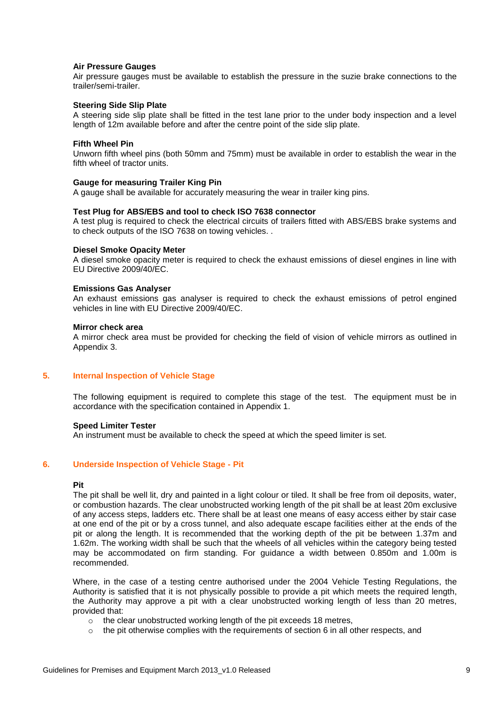#### **Air Pressure Gauges**

Air pressure gauges must be available to establish the pressure in the suzie brake connections to the trailer/semi-trailer.

#### **Steering Side Slip Plate**

A steering side slip plate shall be fitted in the test lane prior to the under body inspection and a level length of 12m available before and after the centre point of the side slip plate.

#### **Fifth Wheel Pin**

Unworn fifth wheel pins (both 50mm and 75mm) must be available in order to establish the wear in the fifth wheel of tractor units.

#### **Gauge for measuring Trailer King Pin**

A gauge shall be available for accurately measuring the wear in trailer king pins.

#### **Test Plug for ABS/EBS and tool to check ISO 7638 connector**

A test plug is required to check the electrical circuits of trailers fitted with ABS/EBS brake systems and to check outputs of the ISO 7638 on towing vehicles. .

#### **Diesel Smoke Opacity Meter**

A diesel smoke opacity meter is required to check the exhaust emissions of diesel engines in line with EU Directive 2009/40/EC.

#### **Emissions Gas Analyser**

An exhaust emissions gas analyser is required to check the exhaust emissions of petrol engined vehicles in line with EU Directive 2009/40/EC.

#### **Mirror check area**

A mirror check area must be provided for checking the field of vision of vehicle mirrors as outlined in Appendix 3.

#### <span id="page-8-0"></span>**5. Internal Inspection of Vehicle Stage**

The following equipment is required to complete this stage of the test. The equipment must be in accordance with the specification contained in Appendix 1.

#### **Speed Limiter Tester**

An instrument must be available to check the speed at which the speed limiter is set.

#### <span id="page-8-1"></span>**6. Underside Inspection of Vehicle Stage - Pit**

#### **Pit**

The pit shall be well lit, dry and painted in a light colour or tiled. It shall be free from oil deposits, water, or combustion hazards. The clear unobstructed working length of the pit shall be at least 20m exclusive of any access steps, ladders etc. There shall be at least one means of easy access either by stair case at one end of the pit or by a cross tunnel, and also adequate escape facilities either at the ends of the pit or along the length. It is recommended that the working depth of the pit be between 1.37m and 1.62m. The working width shall be such that the wheels of all vehicles within the category being tested may be accommodated on firm standing. For guidance a width between 0.850m and 1.00m is recommended.

Where, in the case of a testing centre authorised under the 2004 Vehicle Testing Regulations, the Authority is satisfied that it is not physically possible to provide a pit which meets the required length, the Authority may approve a pit with a clear unobstructed working length of less than 20 metres, provided that:

- o the clear unobstructed working length of the pit exceeds 18 metres,
- $\circ$  the pit otherwise complies with the requirements of section 6 in all other respects, and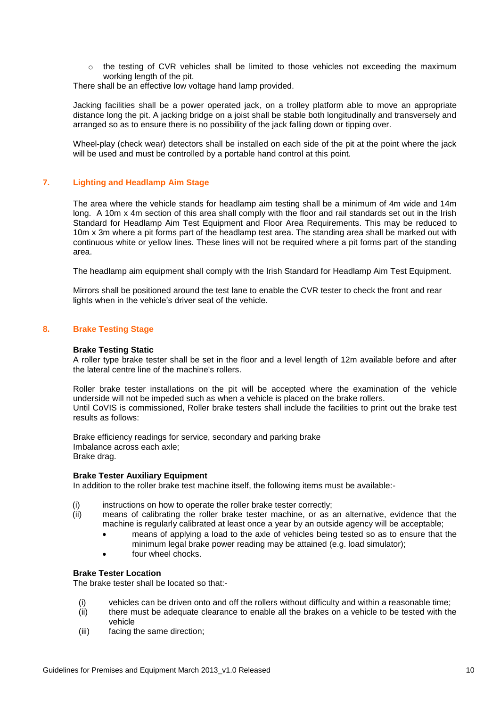o the testing of CVR vehicles shall be limited to those vehicles not exceeding the maximum working length of the pit.

There shall be an effective low voltage hand lamp provided.

Jacking facilities shall be a power operated jack, on a trolley platform able to move an appropriate distance long the pit. A jacking bridge on a joist shall be stable both longitudinally and transversely and arranged so as to ensure there is no possibility of the jack falling down or tipping over.

Wheel-play (check wear) detectors shall be installed on each side of the pit at the point where the jack will be used and must be controlled by a portable hand control at this point.

#### <span id="page-9-0"></span>**7. Lighting and Headlamp Aim Stage**

The area where the vehicle stands for headlamp aim testing shall be a minimum of 4m wide and 14m long. A 10m x 4m section of this area shall comply with the floor and rail standards set out in the Irish Standard for Headlamp Aim Test Equipment and Floor Area Requirements. This may be reduced to 10m x 3m where a pit forms part of the headlamp test area. The standing area shall be marked out with continuous white or yellow lines. These lines will not be required where a pit forms part of the standing area.

The headlamp aim equipment shall comply with the Irish Standard for Headlamp Aim Test Equipment.

Mirrors shall be positioned around the test lane to enable the CVR tester to check the front and rear lights when in the vehicle's driver seat of the vehicle.

#### <span id="page-9-1"></span>**8. Brake Testing Stage**

#### **Brake Testing Static**

A roller type brake tester shall be set in the floor and a level length of 12m available before and after the lateral centre line of the machine's rollers.

Roller brake tester installations on the pit will be accepted where the examination of the vehicle underside will not be impeded such as when a vehicle is placed on the brake rollers. Until CoVIS is commissioned, Roller brake testers shall include the facilities to print out the brake test results as follows:

Brake efficiency readings for service, secondary and parking brake Imbalance across each axle; Brake drag.

#### **Brake Tester Auxiliary Equipment**

In addition to the roller brake test machine itself, the following items must be available:-

- (i) instructions on how to operate the roller brake tester correctly:
- (ii) means of calibrating the roller brake tester machine, or as an alternative, evidence that the machine is regularly calibrated at least once a year by an outside agency will be acceptable;
	- means of applying a load to the axle of vehicles being tested so as to ensure that the minimum legal brake power reading may be attained (e.g. load simulator);
	- four wheel chocks.

#### **Brake Tester Location**

The brake tester shall be located so that:-

- (i) vehicles can be driven onto and off the rollers without difficulty and within a reasonable time;
- (ii) there must be adequate clearance to enable all the brakes on a vehicle to be tested with the vehicle
- (iii) facing the same direction;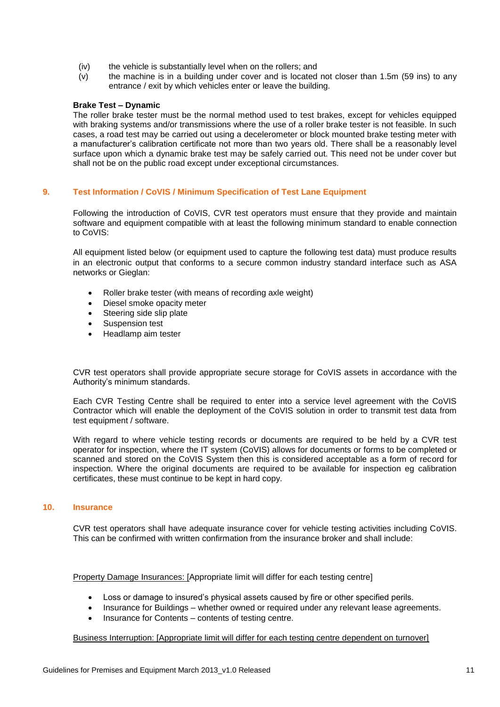- (iv) the vehicle is substantially level when on the rollers; and
- (v) the machine is in a building under cover and is located not closer than 1.5m (59 ins) to any entrance / exit by which vehicles enter or leave the building.

#### **Brake Test – Dynamic**

The roller brake tester must be the normal method used to test brakes, except for vehicles equipped with braking systems and/or transmissions where the use of a roller brake tester is not feasible. In such cases, a road test may be carried out using a decelerometer or block mounted brake testing meter with a manufacturer's calibration certificate not more than two years old. There shall be a reasonably level surface upon which a dynamic brake test may be safely carried out. This need not be under cover but shall not be on the public road except under exceptional circumstances.

#### <span id="page-10-0"></span>**9. Test Information / CoVIS / Minimum Specification of Test Lane Equipment**

Following the introduction of CoVIS, CVR test operators must ensure that they provide and maintain software and equipment compatible with at least the following minimum standard to enable connection to CoVIS:

All equipment listed below (or equipment used to capture the following test data) must produce results in an electronic output that conforms to a secure common industry standard interface such as ASA networks or Gieglan:

- Roller brake tester (with means of recording axle weight)
- Diesel smoke opacity meter
- Steering side slip plate
- Suspension test
- Headlamp aim tester

CVR test operators shall provide appropriate secure storage for CoVIS assets in accordance with the Authority's minimum standards.

Each CVR Testing Centre shall be required to enter into a service level agreement with the CoVIS Contractor which will enable the deployment of the CoVIS solution in order to transmit test data from test equipment / software.

With regard to where vehicle testing records or documents are required to be held by a CVR test operator for inspection, where the IT system (CoVIS) allows for documents or forms to be completed or scanned and stored on the CoVIS System then this is considered acceptable as a form of record for inspection. Where the original documents are required to be available for inspection eg calibration certificates, these must continue to be kept in hard copy.

#### <span id="page-10-1"></span>**10. Insurance**

CVR test operators shall have adequate insurance cover for vehicle testing activities including CoVIS. This can be confirmed with written confirmation from the insurance broker and shall include:

Property Damage Insurances: [Appropriate limit will differ for each testing centre]

- Loss or damage to insured's physical assets caused by fire or other specified perils.
- Insurance for Buildings whether owned or required under any relevant lease agreements.
- Insurance for Contents contents of testing centre.

#### Business Interruption: [Appropriate limit will differ for each testing centre dependent on turnover]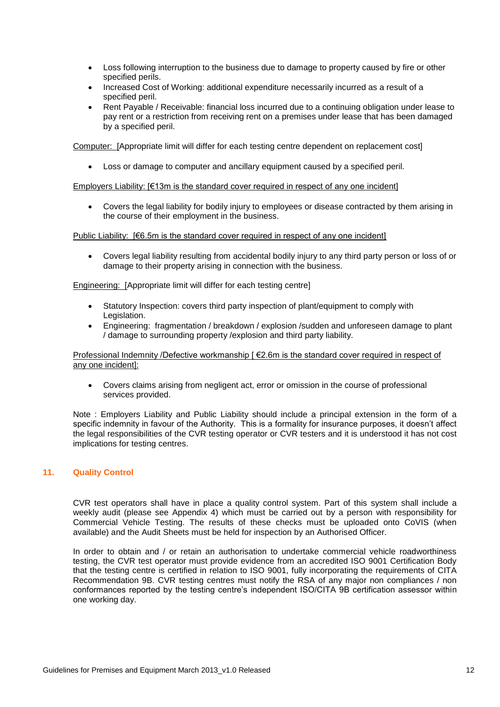- Loss following interruption to the business due to damage to property caused by fire or other specified perils.
- Increased Cost of Working: additional expenditure necessarily incurred as a result of a specified peril.
- Rent Payable / Receivable: financial loss incurred due to a continuing obligation under lease to pay rent or a restriction from receiving rent on a premises under lease that has been damaged by a specified peril.

Computer: [Appropriate limit will differ for each testing centre dependent on replacement cost]

Loss or damage to computer and ancillary equipment caused by a specified peril.

Employers Liability: [€13m is the standard cover required in respect of any one incident]

 Covers the legal liability for bodily injury to employees or disease contracted by them arising in the course of their employment in the business.

Public Liability: [€6.5m is the standard cover required in respect of any one incident]

 Covers legal liability resulting from accidental bodily injury to any third party person or loss of or damage to their property arising in connection with the business.

Engineering: [Appropriate limit will differ for each testing centre]

- Statutory Inspection: covers third party inspection of plant/equipment to comply with Legislation.
- Engineering: fragmentation / breakdown / explosion /sudden and unforeseen damage to plant / damage to surrounding property /explosion and third party liability.

#### Professional Indemnity /Defective workmanship [ €2.6m is the standard cover required in respect of any one incident]:

 Covers claims arising from negligent act, error or omission in the course of professional services provided.

Note : Employers Liability and Public Liability should include a principal extension in the form of a specific indemnity in favour of the Authority. This is a formality for insurance purposes, it doesn't affect the legal responsibilities of the CVR testing operator or CVR testers and it is understood it has not cost implications for testing centres.

#### <span id="page-11-0"></span>**11. Quality Control**

CVR test operators shall have in place a quality control system. Part of this system shall include a weekly audit (please see Appendix 4) which must be carried out by a person with responsibility for Commercial Vehicle Testing. The results of these checks must be uploaded onto CoVIS (when available) and the Audit Sheets must be held for inspection by an Authorised Officer.

In order to obtain and / or retain an authorisation to undertake commercial vehicle roadworthiness testing, the CVR test operator must provide evidence from an accredited ISO 9001 Certification Body that the testing centre is certified in relation to ISO 9001, fully incorporating the requirements of CITA Recommendation 9B. CVR testing centres must notify the RSA of any major non compliances / non conformances reported by the testing centre's independent ISO/CITA 9B certification assessor within one working day.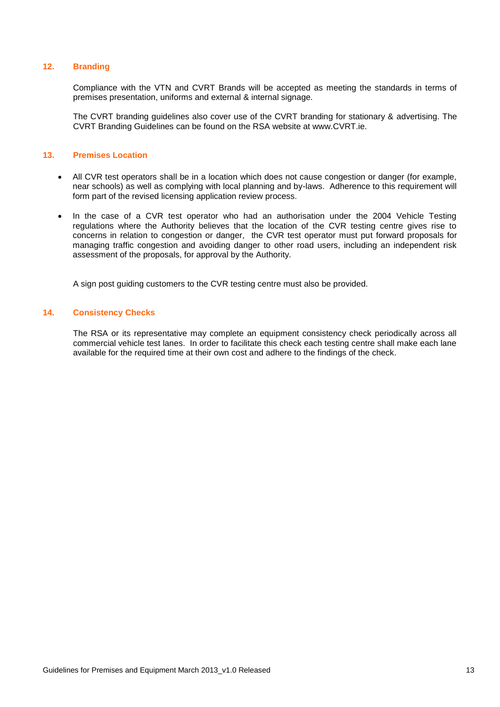#### <span id="page-12-0"></span>**12. Branding**

Compliance with the VTN and CVRT Brands will be accepted as meeting the standards in terms of premises presentation, uniforms and external & internal signage.

The CVRT branding guidelines also cover use of the CVRT branding for stationary & advertising. The CVRT Branding Guidelines can be found on the RSA website at www.CVRT.ie.

#### <span id="page-12-1"></span>**13. Premises Location**

- All CVR test operators shall be in a location which does not cause congestion or danger (for example, near schools) as well as complying with local planning and by-laws. Adherence to this requirement will form part of the revised licensing application review process.
- In the case of a CVR test operator who had an authorisation under the 2004 Vehicle Testing regulations where the Authority believes that the location of the CVR testing centre gives rise to concerns in relation to congestion or danger, the CVR test operator must put forward proposals for managing traffic congestion and avoiding danger to other road users, including an independent risk assessment of the proposals, for approval by the Authority.

A sign post guiding customers to the CVR testing centre must also be provided.

#### <span id="page-12-2"></span>**14. Consistency Checks**

The RSA or its representative may complete an equipment consistency check periodically across all commercial vehicle test lanes. In order to facilitate this check each testing centre shall make each lane available for the required time at their own cost and adhere to the findings of the check.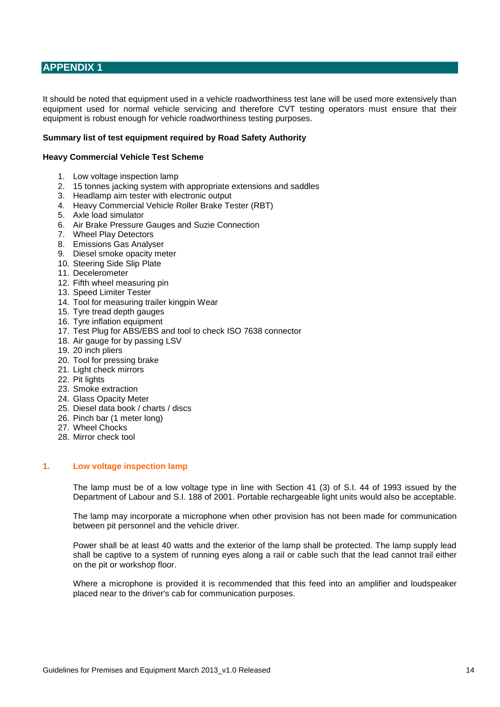## <span id="page-13-0"></span>**APPENDIX 1**

It should be noted that equipment used in a vehicle roadworthiness test lane will be used more extensively than equipment used for normal vehicle servicing and therefore CVT testing operators must ensure that their equipment is robust enough for vehicle roadworthiness testing purposes.

#### **Summary list of test equipment required by Road Safety Authority**

#### **Heavy Commercial Vehicle Test Scheme**

- 1. Low voltage inspection lamp
- 2. 15 tonnes jacking system with appropriate extensions and saddles
- 3. Headlamp aim tester with electronic output
- 4. Heavy Commercial Vehicle Roller Brake Tester (RBT)
- 5. Axle load simulator
- 6. Air Brake Pressure Gauges and Suzie Connection
- 7. Wheel Play Detectors
- 8. Emissions Gas Analyser
- 9. Diesel smoke opacity meter
- 10. Steering Side Slip Plate
- 11. Decelerometer
- 12. Fifth wheel measuring pin
- 13. Speed Limiter Tester
- 14. Tool for measuring trailer kingpin Wear
- 15. Tyre tread depth gauges
- 16. Tyre inflation equipment
- 17. Test Plug for ABS/EBS and tool to check ISO 7638 connector
- 18. Air gauge for by passing LSV
- 19. 20 inch pliers
- 20. Tool for pressing brake
- 21. Light check mirrors
- 22. Pit lights
- 23. Smoke extraction
- 24. Glass Opacity Meter
- 25. Diesel data book / charts / discs
- 26. Pinch bar (1 meter long)
- 27. Wheel Chocks
- 28. Mirror check tool

#### <span id="page-13-1"></span>**1. Low voltage inspection lamp**

The lamp must be of a low voltage type in line with Section 41 (3) of S.I. 44 of 1993 issued by the Department of Labour and S.I. 188 of 2001. Portable rechargeable light units would also be acceptable.

The lamp may incorporate a microphone when other provision has not been made for communication between pit personnel and the vehicle driver.

Power shall be at least 40 watts and the exterior of the lamp shall be protected. The lamp supply lead shall be captive to a system of running eyes along a rail or cable such that the lead cannot trail either on the pit or workshop floor.

Where a microphone is provided it is recommended that this feed into an amplifier and loudspeaker placed near to the driver's cab for communication purposes.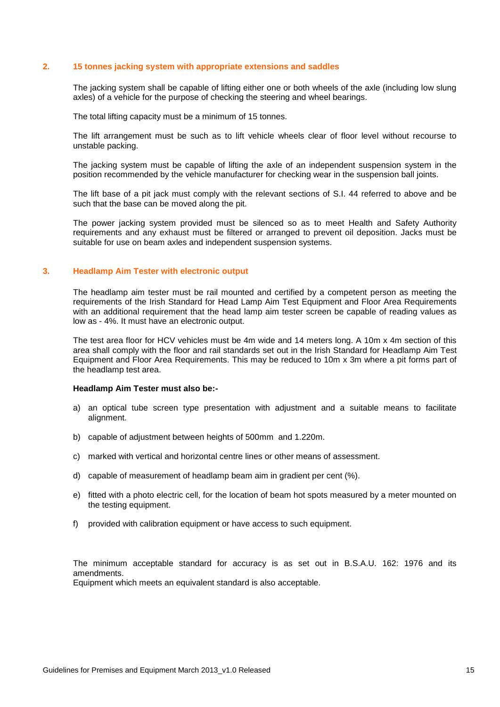#### <span id="page-14-0"></span>**2. 15 tonnes jacking system with appropriate extensions and saddles**

The jacking system shall be capable of lifting either one or both wheels of the axle (including low slung axles) of a vehicle for the purpose of checking the steering and wheel bearings.

The total lifting capacity must be a minimum of 15 tonnes.

The lift arrangement must be such as to lift vehicle wheels clear of floor level without recourse to unstable packing.

The jacking system must be capable of lifting the axle of an independent suspension system in the position recommended by the vehicle manufacturer for checking wear in the suspension ball joints.

The lift base of a pit jack must comply with the relevant sections of S.I. 44 referred to above and be such that the base can be moved along the pit.

The power jacking system provided must be silenced so as to meet Health and Safety Authority requirements and any exhaust must be filtered or arranged to prevent oil deposition. Jacks must be suitable for use on beam axles and independent suspension systems.

#### <span id="page-14-1"></span>**3. Headlamp Aim Tester with electronic output**

The headlamp aim tester must be rail mounted and certified by a competent person as meeting the requirements of the Irish Standard for Head Lamp Aim Test Equipment and Floor Area Requirements with an additional requirement that the head lamp aim tester screen be capable of reading values as low as - 4%. It must have an electronic output.

The test area floor for HCV vehicles must be 4m wide and 14 meters long. A 10m x 4m section of this area shall comply with the floor and rail standards set out in the Irish Standard for Headlamp Aim Test Equipment and Floor Area Requirements. This may be reduced to 10m x 3m where a pit forms part of the headlamp test area.

#### **Headlamp Aim Tester must also be:-**

- a) an optical tube screen type presentation with adjustment and a suitable means to facilitate alignment.
- b) capable of adjustment between heights of 500mm and 1.220m.
- c) marked with vertical and horizontal centre lines or other means of assessment.
- d) capable of measurement of headlamp beam aim in gradient per cent (%).
- e) fitted with a photo electric cell, for the location of beam hot spots measured by a meter mounted on the testing equipment.
- f) provided with calibration equipment or have access to such equipment.

The minimum acceptable standard for accuracy is as set out in B.S.A.U. 162: 1976 and its amendments. Equipment which meets an equivalent standard is also acceptable.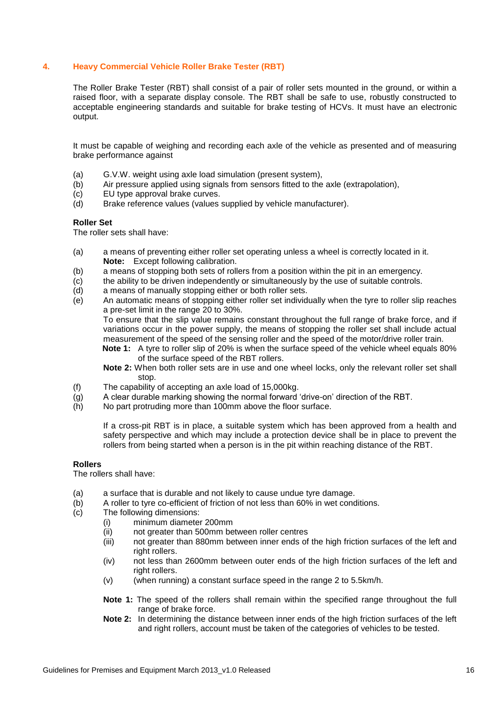#### <span id="page-15-0"></span>**4. Heavy Commercial Vehicle Roller Brake Tester (RBT)**

The Roller Brake Tester (RBT) shall consist of a pair of roller sets mounted in the ground, or within a raised floor, with a separate display console. The RBT shall be safe to use, robustly constructed to acceptable engineering standards and suitable for brake testing of HCVs. It must have an electronic output.

It must be capable of weighing and recording each axle of the vehicle as presented and of measuring brake performance against

- (a) G.V.W. weight using axle load simulation (present system),
- (b) Air pressure applied using signals from sensors fitted to the axle (extrapolation),
- (c) EU type approval brake curves.
- (d) Brake reference values (values supplied by vehicle manufacturer).

#### **Roller Set**

The roller sets shall have:

- (a) a means of preventing either roller set operating unless a wheel is correctly located in it. **Note:** Except following calibration.
- (b) a means of stopping both sets of rollers from a position within the pit in an emergency.
- (c) the ability to be driven independently or simultaneously by the use of suitable controls.<br>(d) a means of manually stopping either or both roller sets.
- a means of manually stopping either or both roller sets.
- (e) An automatic means of stopping either roller set individually when the tyre to roller slip reaches a pre-set limit in the range 20 to 30%.

To ensure that the slip value remains constant throughout the full range of brake force, and if variations occur in the power supply, the means of stopping the roller set shall include actual measurement of the speed of the sensing roller and the speed of the motor/drive roller train.

**Note 1:** A tyre to roller slip of 20% is when the surface speed of the vehicle wheel equals 80% of the surface speed of the RBT rollers.

**Note 2:** When both roller sets are in use and one wheel locks, only the relevant roller set shall stop.

- (f) The capability of accepting an axle load of 15,000kg.
- (g) A clear durable marking showing the normal forward 'drive-on' direction of the RBT.
- (h) No part protruding more than 100mm above the floor surface.

If a cross-pit RBT is in place, a suitable system which has been approved from a health and safety perspective and which may include a protection device shall be in place to prevent the rollers from being started when a person is in the pit within reaching distance of the RBT.

#### **Rollers**

The rollers shall have:

- (a) a surface that is durable and not likely to cause undue tyre damage.
- $\overline{b}$  A roller to tyre co-efficient of friction of not less than 60% in wet conditions.<br>  $\overline{b}$  The following dimensions:
- The following dimensions:
	- (i) minimum diameter 200mm
	- (ii) not greater than 500mm between roller centres
	- (iii) not greater than 880mm between inner ends of the high friction surfaces of the left and right rollers.
	- (iv) not less than 2600mm between outer ends of the high friction surfaces of the left and right rollers.
	- $(v)$  (when running) a constant surface speed in the range 2 to 5.5km/h.
	- **Note 1:** The speed of the rollers shall remain within the specified range throughout the full range of brake force.
	- **Note 2:** In determining the distance between inner ends of the high friction surfaces of the left and right rollers, account must be taken of the categories of vehicles to be tested.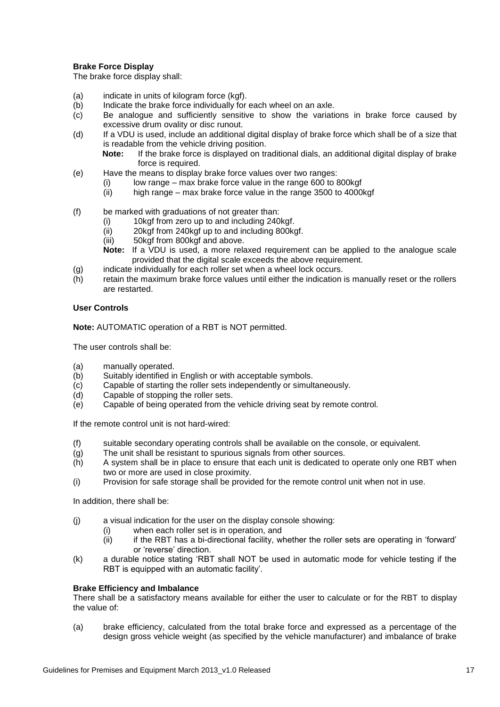#### **Brake Force Display**

The brake force display shall:

- (a) indicate in units of kilogram force (kgf).
- (b) Indicate the brake force individually for each wheel on an axle.
- (c) Be analogue and sufficiently sensitive to show the variations in brake force caused by excessive drum ovality or disc runout.
- (d) If a VDU is used, include an additional digital display of brake force which shall be of a size that is readable from the vehicle driving position.
	- **Note:** If the brake force is displayed on traditional dials, an additional digital display of brake force is required.
- (e) Have the means to display brake force values over two ranges:
	- (i) low range max brake force value in the range 600 to 800kgf<br>(ii) high range max brake force value in the range 3500 to 4000
		- high range max brake force value in the range 3500 to 4000kgf
- (f) be marked with graduations of not greater than:
	- (i) 10kgf from zero up to and including 240kgf.
	- (ii) 20kgf from 240kgf up to and including 800kgf.
	- (iii) 50kgf from 800kgf and above.
	- **Note:** If a VDU is used, a more relaxed requirement can be applied to the analogue scale provided that the digital scale exceeds the above requirement.
- (g) indicate individually for each roller set when a wheel lock occurs.
- (h) retain the maximum brake force values until either the indication is manually reset or the rollers are restarted.

### **User Controls**

**Note:** AUTOMATIC operation of a RBT is NOT permitted.

The user controls shall be:

- (a) manually operated.
- (b) Suitably identified in English or with acceptable symbols.
- (c) Capable of starting the roller sets independently or simultaneously.
- (d) Capable of stopping the roller sets.
- (e) Capable of being operated from the vehicle driving seat by remote control.

If the remote control unit is not hard-wired:

- (f) suitable secondary operating controls shall be available on the console, or equivalent.
- (g) The unit shall be resistant to spurious signals from other sources.
- (h) A system shall be in place to ensure that each unit is dedicated to operate only one RBT when two or more are used in close proximity.
- (i) Provision for safe storage shall be provided for the remote control unit when not in use.

In addition, there shall be:

- (j) a visual indication for the user on the display console showing:
	- (i) when each roller set is in operation, and
	- $(iii)$  if the RBT has a bi-directional facility, whether the roller sets are operating in 'forward' or 'reverse' direction.
- (k) a durable notice stating 'RBT shall NOT be used in automatic mode for vehicle testing if the RBT is equipped with an automatic facility'.

#### **Brake Efficiency and Imbalance**

There shall be a satisfactory means available for either the user to calculate or for the RBT to display the value of:

(a) brake efficiency, calculated from the total brake force and expressed as a percentage of the design gross vehicle weight (as specified by the vehicle manufacturer) and imbalance of brake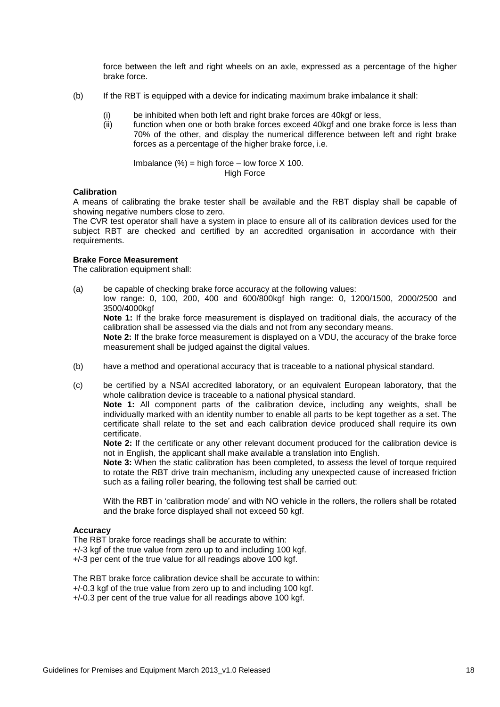force between the left and right wheels on an axle, expressed as a percentage of the higher brake force.

- (b) If the RBT is equipped with a device for indicating maximum brake imbalance it shall:
	- (i) be inhibited when both left and right brake forces are 40kgf or less,
	- (ii) function when one or both brake forces exceed 40kgf and one brake force is less than 70% of the other, and display the numerical difference between left and right brake forces as a percentage of the higher brake force, i.e.

Imbalance  $(\%)$  = high force – low force X 100. High Force

#### **Calibration**

A means of calibrating the brake tester shall be available and the RBT display shall be capable of showing negative numbers close to zero.

The CVR test operator shall have a system in place to ensure all of its calibration devices used for the subject RBT are checked and certified by an accredited organisation in accordance with their requirements.

#### **Brake Force Measurement**

The calibration equipment shall:

- (a) be capable of checking brake force accuracy at the following values: low range: 0, 100, 200, 400 and 600/800kgf high range: 0, 1200/1500, 2000/2500 and 3500/4000kgf **Note 1:** If the brake force measurement is displayed on traditional dials, the accuracy of the calibration shall be assessed via the dials and not from any secondary means. **Note 2:** If the brake force measurement is displayed on a VDU, the accuracy of the brake force measurement shall be judged against the digital values.
- (b) have a method and operational accuracy that is traceable to a national physical standard.
- (c) be certified by a NSAI accredited laboratory, or an equivalent European laboratory, that the whole calibration device is traceable to a national physical standard.

**Note 1:** All component parts of the calibration device, including any weights, shall be individually marked with an identity number to enable all parts to be kept together as a set. The certificate shall relate to the set and each calibration device produced shall require its own certificate.

**Note 2:** If the certificate or any other relevant document produced for the calibration device is not in English, the applicant shall make available a translation into English.

**Note 3:** When the static calibration has been completed, to assess the level of torque required to rotate the RBT drive train mechanism, including any unexpected cause of increased friction such as a failing roller bearing, the following test shall be carried out:

With the RBT in 'calibration mode' and with NO vehicle in the rollers, the rollers shall be rotated and the brake force displayed shall not exceed 50 kgf.

#### **Accuracy**

The RBT brake force readings shall be accurate to within: +/-3 kgf of the true value from zero up to and including 100 kgf. +/-3 per cent of the true value for all readings above 100 kgf.

The RBT brake force calibration device shall be accurate to within: +/-0.3 kgf of the true value from zero up to and including 100 kgf. +/-0.3 per cent of the true value for all readings above 100 kgf.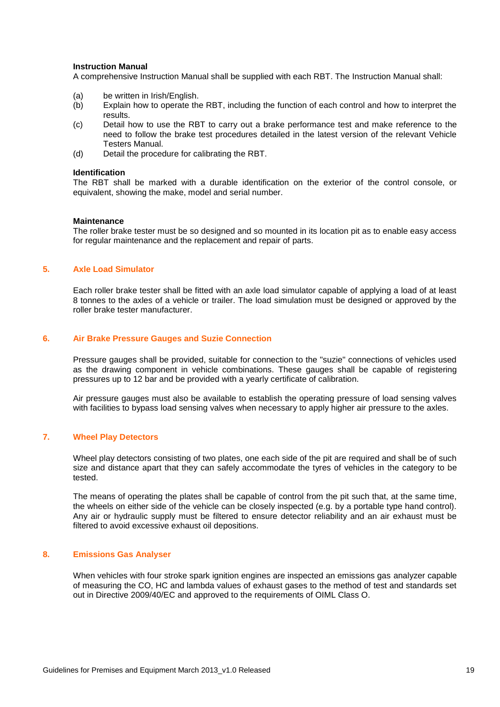#### **Instruction Manual**

A comprehensive Instruction Manual shall be supplied with each RBT. The Instruction Manual shall:

- (a) be written in Irish/English.
- (b) Explain how to operate the RBT, including the function of each control and how to interpret the results.
- (c) Detail how to use the RBT to carry out a brake performance test and make reference to the need to follow the brake test procedures detailed in the latest version of the relevant Vehicle Testers Manual.
- (d) Detail the procedure for calibrating the RBT.

#### **Identification**

The RBT shall be marked with a durable identification on the exterior of the control console, or equivalent, showing the make, model and serial number.

#### **Maintenance**

The roller brake tester must be so designed and so mounted in its location pit as to enable easy access for regular maintenance and the replacement and repair of parts.

#### <span id="page-18-0"></span>**5. Axle Load Simulator**

Each roller brake tester shall be fitted with an axle load simulator capable of applying a load of at least 8 tonnes to the axles of a vehicle or trailer. The load simulation must be designed or approved by the roller brake tester manufacturer.

#### <span id="page-18-1"></span>**6. Air Brake Pressure Gauges and Suzie Connection**

Pressure gauges shall be provided, suitable for connection to the "suzie" connections of vehicles used as the drawing component in vehicle combinations. These gauges shall be capable of registering pressures up to 12 bar and be provided with a yearly certificate of calibration.

Air pressure gauges must also be available to establish the operating pressure of load sensing valves with facilities to bypass load sensing valves when necessary to apply higher air pressure to the axles.

#### <span id="page-18-2"></span>**7. Wheel Play Detectors**

Wheel play detectors consisting of two plates, one each side of the pit are required and shall be of such size and distance apart that they can safely accommodate the tyres of vehicles in the category to be tested.

The means of operating the plates shall be capable of control from the pit such that, at the same time, the wheels on either side of the vehicle can be closely inspected (e.g. by a portable type hand control). Any air or hydraulic supply must be filtered to ensure detector reliability and an air exhaust must be filtered to avoid excessive exhaust oil depositions.

#### <span id="page-18-3"></span>**8. Emissions Gas Analyser**

When vehicles with four stroke spark ignition engines are inspected an emissions gas analyzer capable of measuring the CO, HC and lambda values of exhaust gases to the method of test and standards set out in Directive 2009/40/EC and approved to the requirements of OIML Class O.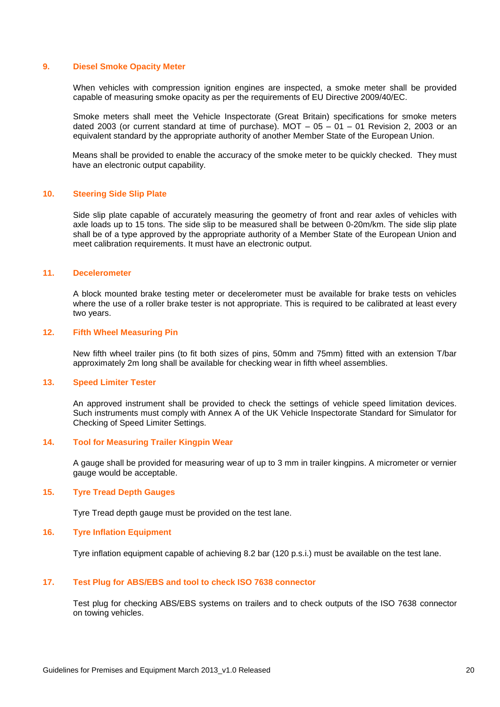#### <span id="page-19-0"></span>**9. Diesel Smoke Opacity Meter**

When vehicles with compression ignition engines are inspected, a smoke meter shall be provided capable of measuring smoke opacity as per the requirements of EU Directive 2009/40/EC.

Smoke meters shall meet the Vehicle Inspectorate (Great Britain) specifications for smoke meters dated 2003 (or current standard at time of purchase). MOT  $-$  05  $-$  01  $-$  01 Revision 2, 2003 or an equivalent standard by the appropriate authority of another Member State of the European Union.

Means shall be provided to enable the accuracy of the smoke meter to be quickly checked. They must have an electronic output capability.

#### <span id="page-19-1"></span>**10. Steering Side Slip Plate**

Side slip plate capable of accurately measuring the geometry of front and rear axles of vehicles with axle loads up to 15 tons. The side slip to be measured shall be between 0-20m/km. The side slip plate shall be of a type approved by the appropriate authority of a Member State of the European Union and meet calibration requirements. It must have an electronic output.

#### <span id="page-19-2"></span>**11. Decelerometer**

A block mounted brake testing meter or decelerometer must be available for brake tests on vehicles where the use of a roller brake tester is not appropriate. This is required to be calibrated at least every two years.

#### <span id="page-19-3"></span>**12. Fifth Wheel Measuring Pin**

New fifth wheel trailer pins (to fit both sizes of pins, 50mm and 75mm) fitted with an extension T/bar approximately 2m long shall be available for checking wear in fifth wheel assemblies.

#### <span id="page-19-4"></span>**13. Speed Limiter Tester**

An approved instrument shall be provided to check the settings of vehicle speed limitation devices. Such instruments must comply with Annex A of the UK Vehicle Inspectorate Standard for Simulator for Checking of Speed Limiter Settings.

#### <span id="page-19-5"></span>**14. Tool for Measuring Trailer Kingpin Wear**

A gauge shall be provided for measuring wear of up to 3 mm in trailer kingpins. A micrometer or vernier gauge would be acceptable.

#### <span id="page-19-6"></span>**15. Tyre Tread Depth Gauges**

Tyre Tread depth gauge must be provided on the test lane.

#### <span id="page-19-7"></span>**16. Tyre Inflation Equipment**

Tyre inflation equipment capable of achieving 8.2 bar (120 p.s.i.) must be available on the test lane.

#### <span id="page-19-8"></span>**17. Test Plug for ABS/EBS and tool to check ISO 7638 connector**

Test plug for checking ABS/EBS systems on trailers and to check outputs of the ISO 7638 connector on towing vehicles.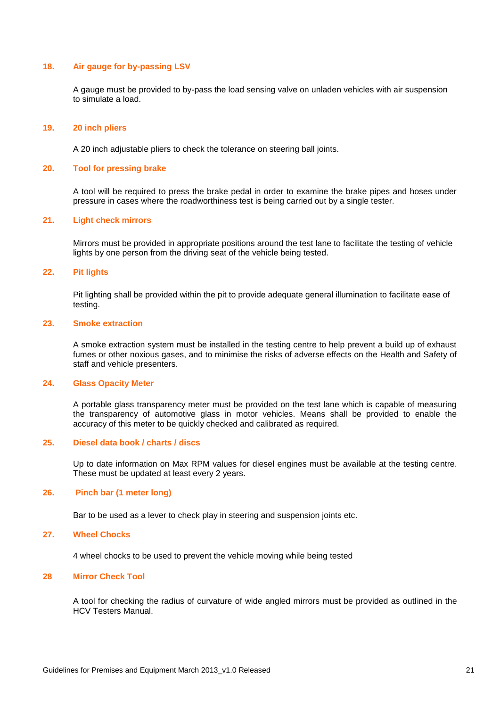#### <span id="page-20-0"></span>**18. Air gauge for by-passing LSV**

A gauge must be provided to by-pass the load sensing valve on unladen vehicles with air suspension to simulate a load.

#### <span id="page-20-1"></span>**19. 20 inch pliers**

A 20 inch adjustable pliers to check the tolerance on steering ball joints.

#### <span id="page-20-2"></span>**20. Tool for pressing brake**

A tool will be required to press the brake pedal in order to examine the brake pipes and hoses under pressure in cases where the roadworthiness test is being carried out by a single tester.

#### <span id="page-20-3"></span>**21. Light check mirrors**

Mirrors must be provided in appropriate positions around the test lane to facilitate the testing of vehicle lights by one person from the driving seat of the vehicle being tested.

#### <span id="page-20-4"></span>**22. Pit lights**

Pit lighting shall be provided within the pit to provide adequate general illumination to facilitate ease of testing.

#### <span id="page-20-5"></span>**23. Smoke extraction**

A smoke extraction system must be installed in the testing centre to help prevent a build up of exhaust fumes or other noxious gases, and to minimise the risks of adverse effects on the Health and Safety of staff and vehicle presenters.

#### <span id="page-20-6"></span>**24. Glass Opacity Meter**

A portable glass transparency meter must be provided on the test lane which is capable of measuring the transparency of automotive glass in motor vehicles. Means shall be provided to enable the accuracy of this meter to be quickly checked and calibrated as required.

#### <span id="page-20-7"></span>**25. Diesel data book / charts / discs**

Up to date information on Max RPM values for diesel engines must be available at the testing centre. These must be updated at least every 2 years.

#### <span id="page-20-8"></span>**26. Pinch bar (1 meter long)**

Bar to be used as a lever to check play in steering and suspension joints etc.

#### <span id="page-20-9"></span>**27. Wheel Chocks**

4 wheel chocks to be used to prevent the vehicle moving while being tested

#### <span id="page-20-10"></span>**28 Mirror Check Tool**

A tool for checking the radius of curvature of wide angled mirrors must be provided as outlined in the HCV Testers Manual.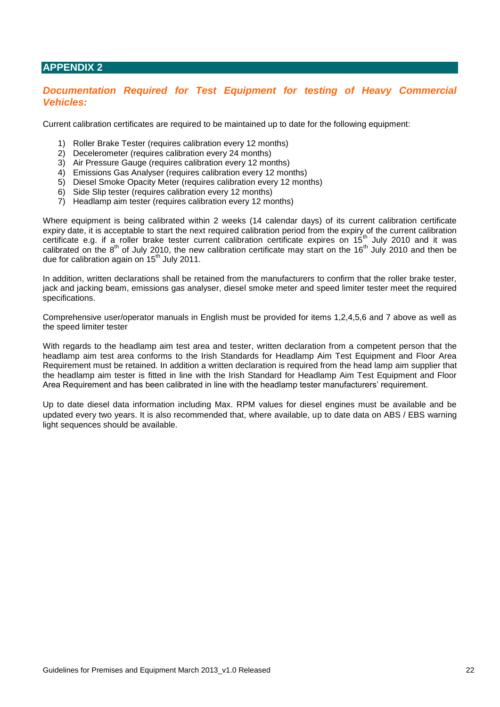## <span id="page-21-0"></span>**APPENDIX 2**

## <span id="page-21-1"></span>**Documentation Required for Test Equipment for testing of Heavy Commercial** *Vehicles:*

Current calibration certificates are required to be maintained up to date for the following equipment:

- 1) Roller Brake Tester (requires calibration every 12 months)
- 2) Decelerometer (requires calibration every 24 months)
- 3) Air Pressure Gauge (requires calibration every 12 months)
- 4) Emissions Gas Analyser (requires calibration every 12 months)
- 5) Diesel Smoke Opacity Meter (requires calibration every 12 months)
- 6) Side Slip tester (requires calibration every 12 months)
- 7) Headlamp aim tester (requires calibration every 12 months)

Where equipment is being calibrated within 2 weeks (14 calendar days) of its current calibration certificate expiry date, it is acceptable to start the next required calibration period from the expiry of the current calibration certificate e.g. if a roller brake tester current calibration certificate expires on 15<sup>th</sup> July 2010 and it was calibrated on the  $8<sup>th</sup>$  of July 2010, the new calibration certificate may start on the 16<sup>th</sup> July 2010 and then be due for calibration again on 15<sup>th</sup> July 2011.

In addition, written declarations shall be retained from the manufacturers to confirm that the roller brake tester, jack and jacking beam, emissions gas analyser, diesel smoke meter and speed limiter tester meet the required specifications.

Comprehensive user/operator manuals in English must be provided for items 1,2,4,5,6 and 7 above as well as the speed limiter tester

With regards to the headlamp aim test area and tester, written declaration from a competent person that the headlamp aim test area conforms to the Irish Standards for Headlamp Aim Test Equipment and Floor Area Requirement must be retained. In addition a written declaration is required from the head lamp aim supplier that the headlamp aim tester is fitted in line with the Irish Standard for Headlamp Aim Test Equipment and Floor Area Requirement and has been calibrated in line with the headlamp tester manufacturers' requirement.

Up to date diesel data information including Max. RPM values for diesel engines must be available and be updated every two years. It is also recommended that, where available, up to date data on ABS / EBS warning light sequences should be available.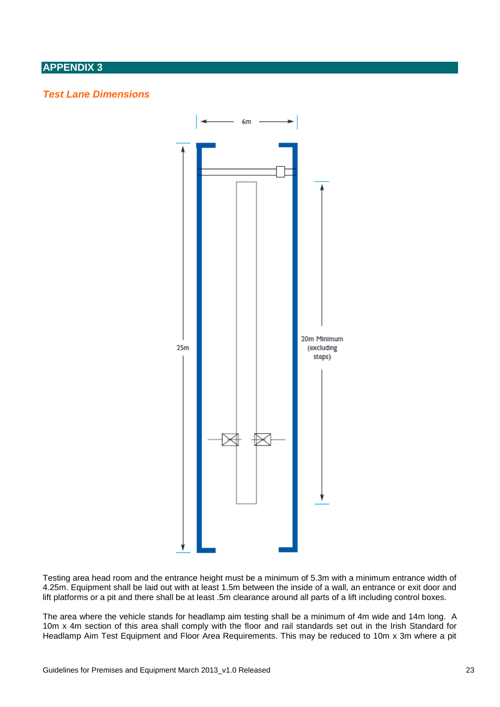## <span id="page-22-0"></span>**APPENDIX 3**

## <span id="page-22-1"></span>*Test Lane Dimensions*



Testing area head room and the entrance height must be a minimum of 5.3m with a minimum entrance width of 4.25m. Equipment shall be laid out with at least 1.5m between the inside of a wall, an entrance or exit door and lift platforms or a pit and there shall be at least .5m clearance around all parts of a lift including control boxes.

The area where the vehicle stands for headlamp aim testing shall be a minimum of 4m wide and 14m long. A 10m x 4m section of this area shall comply with the floor and rail standards set out in the Irish Standard for Headlamp Aim Test Equipment and Floor Area Requirements. This may be reduced to 10m x 3m where a pit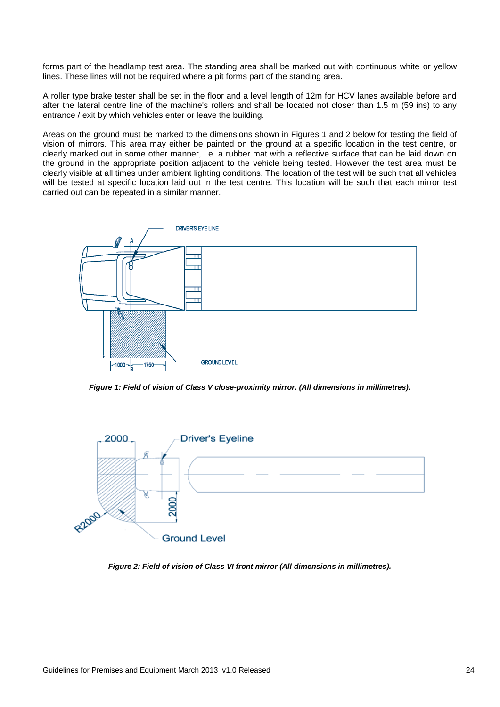forms part of the headlamp test area. The standing area shall be marked out with continuous white or yellow lines. These lines will not be required where a pit forms part of the standing area.

A roller type brake tester shall be set in the floor and a level length of 12m for HCV lanes available before and after the lateral centre line of the machine's rollers and shall be located not closer than 1.5 m (59 ins) to any entrance / exit by which vehicles enter or leave the building.

Areas on the ground must be marked to the dimensions shown in Figures 1 and 2 below for testing the field of vision of mirrors. This area may either be painted on the ground at a specific location in the test centre, or clearly marked out in some other manner, i.e. a rubber mat with a reflective surface that can be laid down on the ground in the appropriate position adjacent to the vehicle being tested. However the test area must be clearly visible at all times under ambient lighting conditions. The location of the test will be such that all vehicles will be tested at specific location laid out in the test centre. This location will be such that each mirror test carried out can be repeated in a similar manner.



*Figure 1: Field of vision of Class V close-proximity mirror. (All dimensions in millimetres).*



*Figure 2: Field of vision of Class VI front mirror (All dimensions in millimetres).*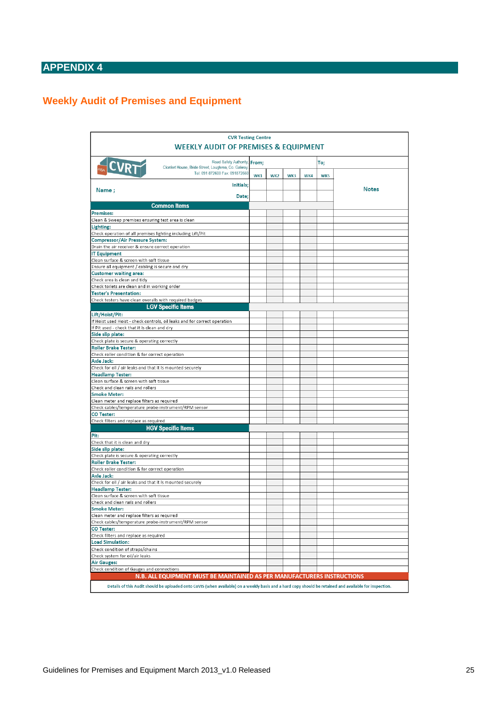# <span id="page-24-0"></span>**APPENDIX 4**

# <span id="page-24-1"></span>**Weekly Audit of Premises and Equipment**

| <b>CVR Testing Centre</b>                                                                                                                               |     |                 |     |     |     |              |  |
|---------------------------------------------------------------------------------------------------------------------------------------------------------|-----|-----------------|-----|-----|-----|--------------|--|
| <b>WEEKLY AUDIT OF PREMISES &amp; EQUIPMENT</b>                                                                                                         |     |                 |     |     |     |              |  |
| Road Safety Authority, From;<br><b>CVRT</b><br>Clonfert House, Bride Street, Loughrea, Co. Galway                                                       |     |                 |     |     | To; |              |  |
| Tel: 091 872600 Fax: 091872660                                                                                                                          | WK1 | WK <sub>2</sub> | WK3 | WK4 | WK5 |              |  |
| Initials:<br>Name;                                                                                                                                      |     |                 |     |     |     | <b>Notes</b> |  |
| Date:                                                                                                                                                   |     |                 |     |     |     |              |  |
| <b>Common Items</b>                                                                                                                                     |     |                 |     |     |     |              |  |
| <b>Premises:</b>                                                                                                                                        |     |                 |     |     |     |              |  |
| Clean & Sweep premises ensuring test area is clean                                                                                                      |     |                 |     |     |     |              |  |
| Lighting:                                                                                                                                               |     |                 |     |     |     |              |  |
| Check operation of all premises lighting including Lift/Pit<br><b>Compressor/Air Pressure System:</b>                                                   |     |                 |     |     |     |              |  |
| Drain the air receiver & ensure correct operation                                                                                                       |     |                 |     |     |     |              |  |
| <b>IT Equipment</b>                                                                                                                                     |     |                 |     |     |     |              |  |
| Clean surface & screen with soft tissue                                                                                                                 |     |                 |     |     |     |              |  |
| Ensure all equipment / cabling is secure and dry                                                                                                        |     |                 |     |     |     |              |  |
| <b>Customer waiting area:</b>                                                                                                                           |     |                 |     |     |     |              |  |
| Check area is clean and tidy<br>Check toilets are clean and in working order                                                                            |     |                 |     |     |     |              |  |
| <b>Tester's Presentation:</b>                                                                                                                           |     |                 |     |     |     |              |  |
| Check testers have clean overalls with required badges                                                                                                  |     |                 |     |     |     |              |  |
| <b>LGV Specific Items</b>                                                                                                                               |     |                 |     |     |     |              |  |
| Lift/Hoist/Pit:                                                                                                                                         |     |                 |     |     |     |              |  |
| If Hoist used Hoist - check controls, oil leaks and for correct operation                                                                               |     |                 |     |     |     |              |  |
| If Pit used - check that it is clean and dry                                                                                                            |     |                 |     |     |     |              |  |
| Side slip plate:                                                                                                                                        |     |                 |     |     |     |              |  |
| Check plate is secure & operating correctly                                                                                                             |     |                 |     |     |     |              |  |
| <b>Roller Brake Tester:</b><br>Check roller condition & for correct operation                                                                           |     |                 |     |     |     |              |  |
| <b>Axle Jack:</b>                                                                                                                                       |     |                 |     |     |     |              |  |
| Check for oil / air leaks and that it is mounted securely                                                                                               |     |                 |     |     |     |              |  |
| <b>Headlamp Tester:</b>                                                                                                                                 |     |                 |     |     |     |              |  |
| Clean surface & screen with soft tissue                                                                                                                 |     |                 |     |     |     |              |  |
| Check and clean rails and rollers                                                                                                                       |     |                 |     |     |     |              |  |
| <b>Smoke Meter:</b>                                                                                                                                     |     |                 |     |     |     |              |  |
| Clean meter and replace filters as required<br>Check cables/temperature probe-instrument/RPM sensor                                                     |     |                 |     |     |     |              |  |
| <b>CO Tester:</b>                                                                                                                                       |     |                 |     |     |     |              |  |
| Check filters and replace as required                                                                                                                   |     |                 |     |     |     |              |  |
| <b>HGV Specific Items</b>                                                                                                                               |     |                 |     |     |     |              |  |
| Pit:                                                                                                                                                    |     |                 |     |     |     |              |  |
| Check that it is clean and dry                                                                                                                          |     |                 |     |     |     |              |  |
| Side slip plate:                                                                                                                                        |     |                 |     |     |     |              |  |
| Check plate is secure & operating correctly                                                                                                             |     |                 |     |     |     |              |  |
| <b>Roller Brake Tester:</b>                                                                                                                             |     |                 |     |     |     |              |  |
| Check roller condition & for correct operation<br><b>Axle Jack:</b>                                                                                     |     |                 |     |     |     |              |  |
| Check for oil / air leaks and that it is mounted securely                                                                                               |     |                 |     |     |     |              |  |
| <b>Headlamp Tester:</b>                                                                                                                                 |     |                 |     |     |     |              |  |
| Clean surface & screen with soft tissue                                                                                                                 |     |                 |     |     |     |              |  |
| Check and clean rails and rollers                                                                                                                       |     |                 |     |     |     |              |  |
| <b>Smoke Meter:</b>                                                                                                                                     |     |                 |     |     |     |              |  |
| Clean meter and replace filters as required                                                                                                             |     |                 |     |     |     |              |  |
| Check cables/temperature probe-instrument/RPM sensor<br><b>CO Tester:</b>                                                                               |     |                 |     |     |     |              |  |
| Check filters and replace as required                                                                                                                   |     |                 |     |     |     |              |  |
| <b>Load Simulation:</b>                                                                                                                                 |     |                 |     |     |     |              |  |
| Check condition of straps/chains                                                                                                                        |     |                 |     |     |     |              |  |
| Check system for oil/air leaks                                                                                                                          |     |                 |     |     |     |              |  |
| <b>Air Gauges:</b>                                                                                                                                      |     |                 |     |     |     |              |  |
| Check condition of Gauges and connections                                                                                                               |     |                 |     |     |     |              |  |
| N.B. ALL EQUIPMENT MUST BE MAINTAINED AS PER MANUFACTURERS INSTRUCTIONS                                                                                 |     |                 |     |     |     |              |  |
| Details of this Audit should be uploaded onto CoVIS (when available) on a weekly basis and a hard copy should be retained and available for inspection. |     |                 |     |     |     |              |  |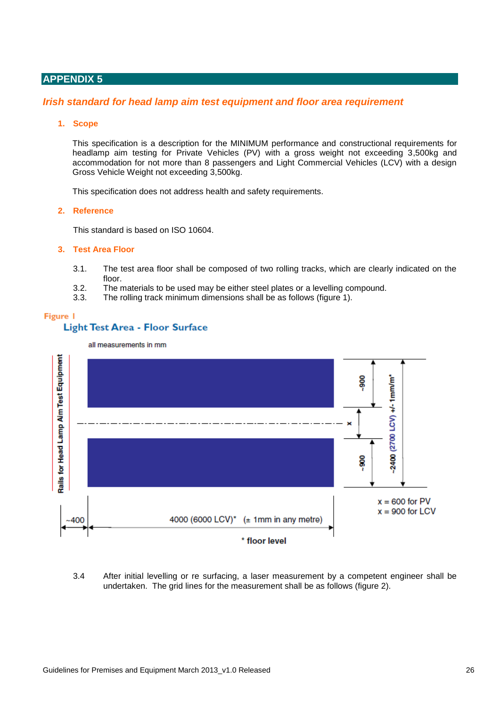## <span id="page-25-0"></span>**APPENDIX 5**

### <span id="page-25-1"></span>*Irish standard for head lamp aim test equipment and floor area requirement*

#### **1. Scope**

This specification is a description for the MINIMUM performance and constructional requirements for headlamp aim testing for Private Vehicles (PV) with a gross weight not exceeding 3,500kg and accommodation for not more than 8 passengers and Light Commercial Vehicles (LCV) with a design Gross Vehicle Weight not exceeding 3,500kg.

This specification does not address health and safety requirements.

#### **2. Reference**

This standard is based on ISO 10604.

#### **3. Test Area Floor**

- 3.1. The test area floor shall be composed of two rolling tracks, which are clearly indicated on the floor.
- 3.2. The materials to be used may be either steel plates or a levelling compound.
- 3.3. The rolling track minimum dimensions shall be as follows (figure 1).

#### Figure 1

#### **Light Test Area - Floor Surface**

all measurements in mm



#### 3.4 After initial levelling or re surfacing, a laser measurement by a competent engineer shall be undertaken. The grid lines for the measurement shall be as follows (figure 2).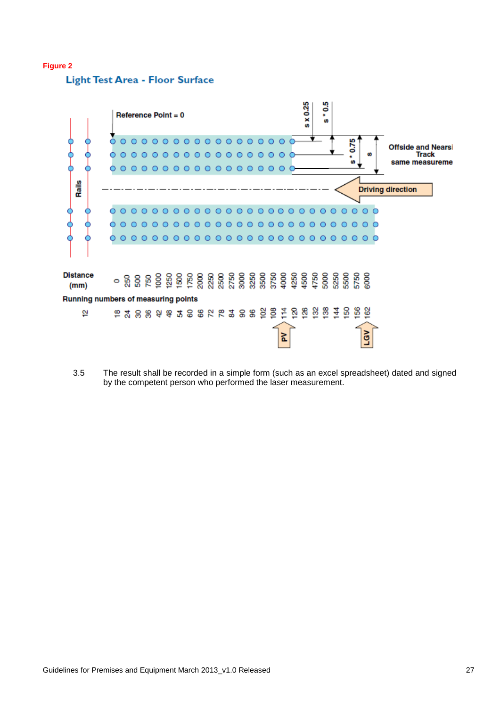#### **Figure 2**

Light Test Area - Floor Surface



3.5 The result shall be recorded in a simple form (such as an excel spreadsheet) dated and signed by the competent person who performed the laser measurement.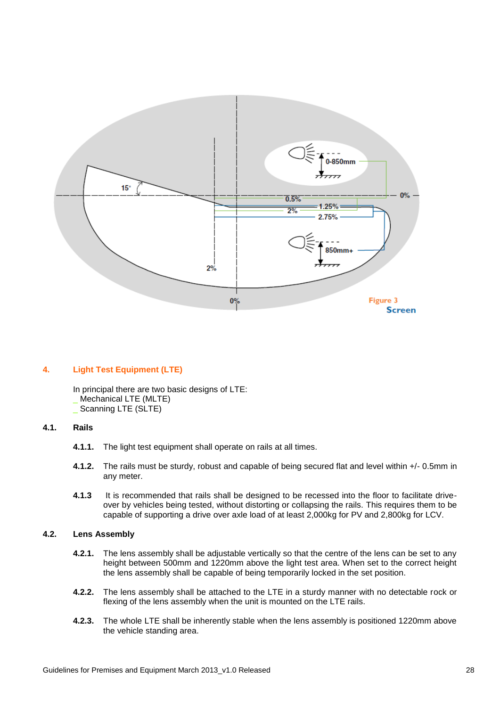

#### **4. Light Test Equipment (LTE)**

In principal there are two basic designs of LTE: Mechanical LTE (MLTE)

\_ Scanning LTE (SLTE)

#### **4.1. Rails**

- **4.1.1.** The light test equipment shall operate on rails at all times.
- **4.1.2.** The rails must be sturdy, robust and capable of being secured flat and level within +/- 0.5mm in any meter.
- **4.1.3** It is recommended that rails shall be designed to be recessed into the floor to facilitate driveover by vehicles being tested, without distorting or collapsing the rails. This requires them to be capable of supporting a drive over axle load of at least 2,000kg for PV and 2,800kg for LCV.

#### **4.2. Lens Assembly**

- **4.2.1.** The lens assembly shall be adjustable vertically so that the centre of the lens can be set to any height between 500mm and 1220mm above the light test area. When set to the correct height the lens assembly shall be capable of being temporarily locked in the set position.
- **4.2.2.** The lens assembly shall be attached to the LTE in a sturdy manner with no detectable rock or flexing of the lens assembly when the unit is mounted on the LTE rails.
- **4.2.3.** The whole LTE shall be inherently stable when the lens assembly is positioned 1220mm above the vehicle standing area.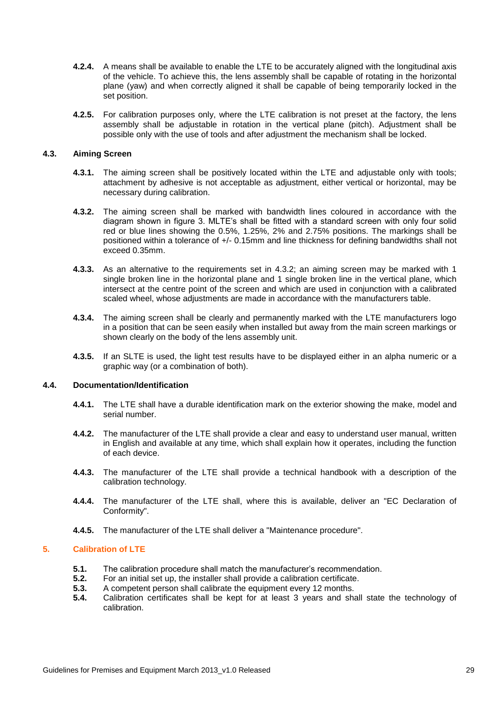- **4.2.4.** A means shall be available to enable the LTE to be accurately aligned with the longitudinal axis of the vehicle. To achieve this, the lens assembly shall be capable of rotating in the horizontal plane (yaw) and when correctly aligned it shall be capable of being temporarily locked in the set position.
- **4.2.5.** For calibration purposes only, where the LTE calibration is not preset at the factory, the lens assembly shall be adjustable in rotation in the vertical plane (pitch). Adjustment shall be possible only with the use of tools and after adjustment the mechanism shall be locked.

#### **4.3. Aiming Screen**

- **4.3.1.** The aiming screen shall be positively located within the LTE and adjustable only with tools; attachment by adhesive is not acceptable as adjustment, either vertical or horizontal, may be necessary during calibration.
- **4.3.2.** The aiming screen shall be marked with bandwidth lines coloured in accordance with the diagram shown in figure 3. MLTE's shall be fitted with a standard screen with only four solid red or blue lines showing the 0.5%, 1.25%, 2% and 2.75% positions. The markings shall be positioned within a tolerance of +/- 0.15mm and line thickness for defining bandwidths shall not exceed 0.35mm.
- **4.3.3.** As an alternative to the requirements set in 4.3.2; an aiming screen may be marked with 1 single broken line in the horizontal plane and 1 single broken line in the vertical plane, which intersect at the centre point of the screen and which are used in conjunction with a calibrated scaled wheel, whose adjustments are made in accordance with the manufacturers table.
- **4.3.4.** The aiming screen shall be clearly and permanently marked with the LTE manufacturers logo in a position that can be seen easily when installed but away from the main screen markings or shown clearly on the body of the lens assembly unit.
- **4.3.5.** If an SLTE is used, the light test results have to be displayed either in an alpha numeric or a graphic way (or a combination of both).

#### **4.4. Documentation/Identification**

- **4.4.1.** The LTE shall have a durable identification mark on the exterior showing the make, model and serial number.
- **4.4.2.** The manufacturer of the LTE shall provide a clear and easy to understand user manual, written in English and available at any time, which shall explain how it operates, including the function of each device.
- **4.4.3.** The manufacturer of the LTE shall provide a technical handbook with a description of the calibration technology.
- **4.4.4.** The manufacturer of the LTE shall, where this is available, deliver an "EC Declaration of Conformity".
- **4.4.5.** The manufacturer of the LTE shall deliver a "Maintenance procedure".

#### **5. Calibration of LTE**

- **5.1.** The calibration procedure shall match the manufacturer's recommendation.
- **5.2.** For an initial set up, the installer shall provide a calibration certificate.<br>**5.3.** A competent person shall calibrate the equipment every 12 months.
- **5.3.** A competent person shall calibrate the equipment every 12 months.<br>**5.4.** Calibration certificates shall be kent for at least 3 years and shall
- **5.4.** Calibration certificates shall be kept for at least 3 years and shall state the technology of calibration.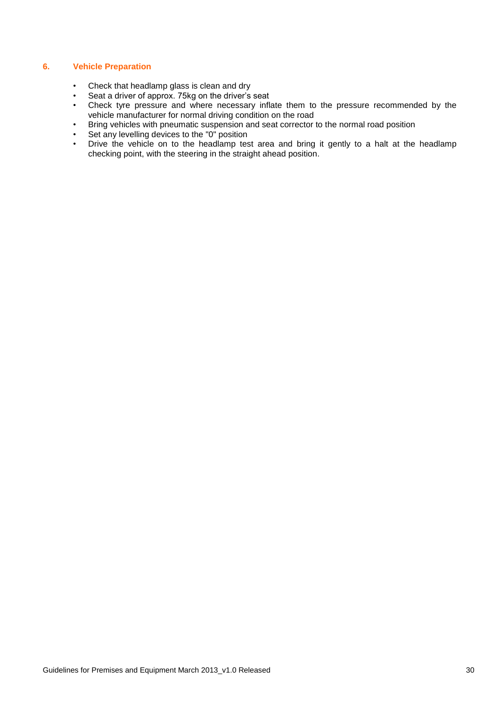#### **6. Vehicle Preparation**

- Check that headlamp glass is clean and dry
- Seat a driver of approx. 75kg on the driver's seat
- Check tyre pressure and where necessary inflate them to the pressure recommended by the vehicle manufacturer for normal driving condition on the road
- Bring vehicles with pneumatic suspension and seat corrector to the normal road position
- Set any levelling devices to the "0" position
- Drive the vehicle on to the headlamp test area and bring it gently to a halt at the headlamp checking point, with the steering in the straight ahead position.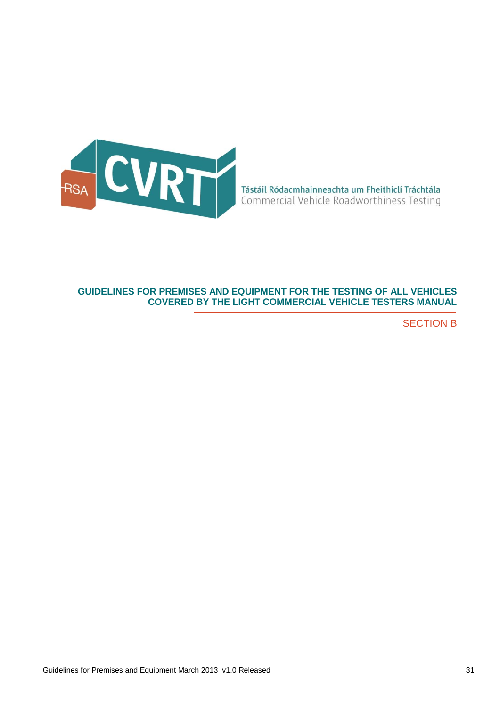

## **GUIDELINES FOR PREMISES AND EQUIPMENT FOR THE TESTING OF ALL VEHICLES COVERED BY THE LIGHT COMMERCIAL VEHICLE TESTERS MANUAL**

SECTION B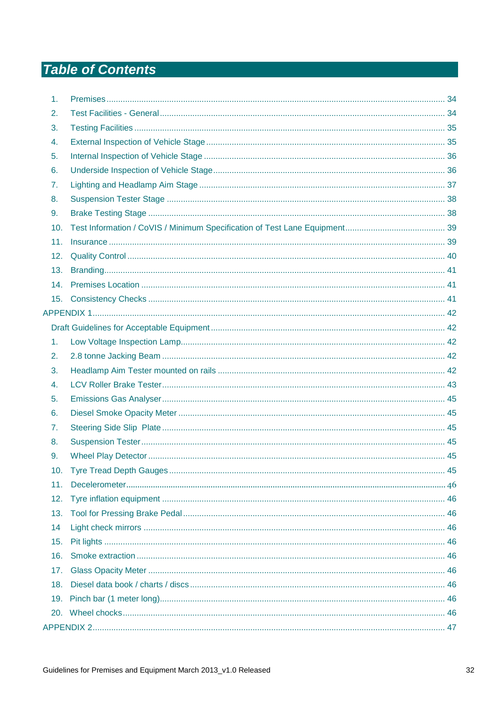# **Table of Contents**

| 1 <sub>1</sub> |  |
|----------------|--|
| 2.             |  |
| 3.             |  |
| 4.             |  |
| 5.             |  |
| 6.             |  |
| 7.             |  |
| 8.             |  |
| 9.             |  |
| 10.            |  |
| 11.            |  |
| 12.            |  |
| 13.            |  |
| 14.            |  |
| 15.            |  |
|                |  |
|                |  |
| 1.             |  |
| 2.             |  |
| 3.             |  |
| 4.             |  |
| 5.             |  |
| 6.             |  |
| 7.             |  |
| 8.             |  |
| 9.             |  |
| 10.            |  |
| 11.            |  |
| 12.            |  |
| 13.            |  |
| 14             |  |
| 15.            |  |
| 16.            |  |
| 17.            |  |
| 18.            |  |
|                |  |
|                |  |
|                |  |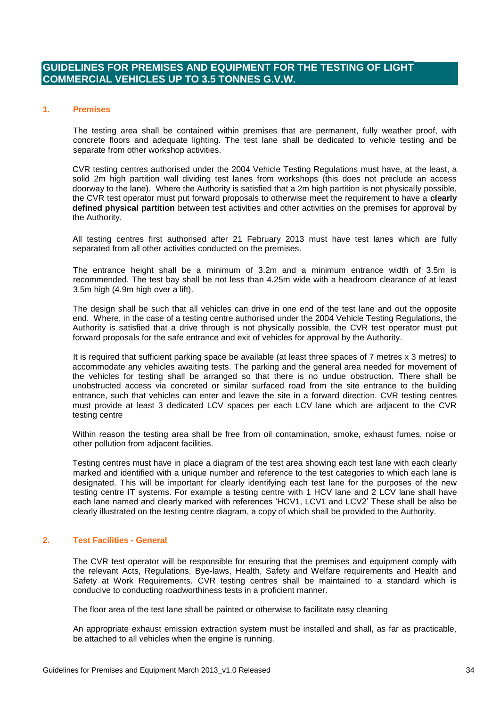## **GUIDELINES FOR PREMISES AND EQUIPMENT FOR THE TESTING OF LIGHT COMMERCIAL VEHICLES UP TO 3.5 TONNES G.V.W.**

#### <span id="page-33-0"></span>**1. Premises**

The testing area shall be contained within premises that are permanent, fully weather proof, with concrete floors and adequate lighting. The test lane shall be dedicated to vehicle testing and be separate from other workshop activities.

CVR testing centres authorised under the 2004 Vehicle Testing Regulations must have, at the least, a solid 2m high partition wall dividing test lanes from workshops (this does not preclude an access doorway to the lane). Where the Authority is satisfied that a 2m high partition is not physically possible, the CVR test operator must put forward proposals to otherwise meet the requirement to have a **clearly defined physical partition** between test activities and other activities on the premises for approval by the Authority.

All testing centres first authorised after 21 February 2013 must have test lanes which are fully separated from all other activities conducted on the premises.

The entrance height shall be a minimum of 3.2m and a minimum entrance width of 3.5m is recommended. The test bay shall be not less than 4.25m wide with a headroom clearance of at least 3.5m high (4.9m high over a lift).

The design shall be such that all vehicles can drive in one end of the test lane and out the opposite end. Where, in the case of a testing centre authorised under the 2004 Vehicle Testing Regulations, the Authority is satisfied that a drive through is not physically possible, the CVR test operator must put forward proposals for the safe entrance and exit of vehicles for approval by the Authority.

It is required that sufficient parking space be available (at least three spaces of 7 metres x 3 metres) to accommodate any vehicles awaiting tests. The parking and the general area needed for movement of the vehicles for testing shall be arranged so that there is no undue obstruction. There shall be unobstructed access via concreted or similar surfaced road from the site entrance to the building entrance, such that vehicles can enter and leave the site in a forward direction. CVR testing centres must provide at least 3 dedicated LCV spaces per each LCV lane which are adjacent to the CVR testing centre

Within reason the testing area shall be free from oil contamination, smoke, exhaust fumes, noise or other pollution from adjacent facilities.

Testing centres must have in place a diagram of the test area showing each test lane with each clearly marked and identified with a unique number and reference to the test categories to which each lane is designated. This will be important for clearly identifying each test lane for the purposes of the new testing centre IT systems. For example a testing centre with 1 HCV lane and 2 LCV lane shall have each lane named and clearly marked with references 'HCV1, LCV1 and LCV2' These shall be also be clearly illustrated on the testing centre diagram, a copy of which shall be provided to the Authority.

#### <span id="page-33-1"></span>**2. Test Facilities - General**

The CVR test operator will be responsible for ensuring that the premises and equipment comply with the relevant Acts, Regulations, Bye-laws, Health, Safety and Welfare requirements and Health and Safety at Work Requirements. CVR testing centres shall be maintained to a standard which is conducive to conducting roadworthiness tests in a proficient manner.

The floor area of the test lane shall be painted or otherwise to facilitate easy cleaning

An appropriate exhaust emission extraction system must be installed and shall, as far as practicable, be attached to all vehicles when the engine is running.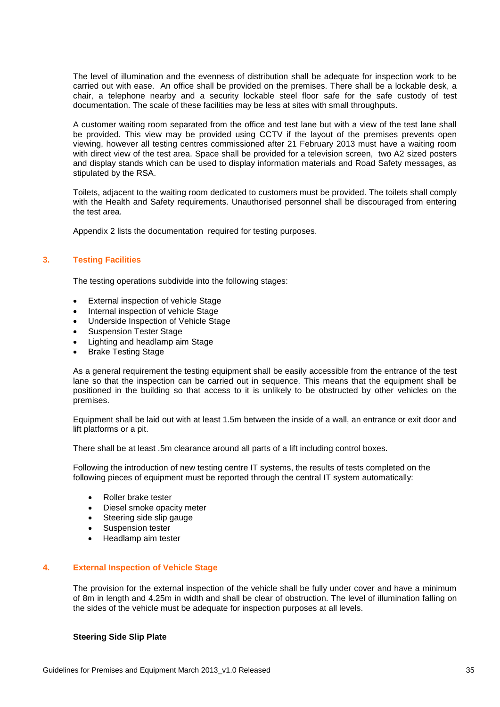The level of illumination and the evenness of distribution shall be adequate for inspection work to be carried out with ease. An office shall be provided on the premises. There shall be a lockable desk, a chair, a telephone nearby and a security lockable steel floor safe for the safe custody of test documentation. The scale of these facilities may be less at sites with small throughputs.

A customer waiting room separated from the office and test lane but with a view of the test lane shall be provided. This view may be provided using CCTV if the layout of the premises prevents open viewing, however all testing centres commissioned after 21 February 2013 must have a waiting room with direct view of the test area. Space shall be provided for a television screen, two A2 sized posters and display stands which can be used to display information materials and Road Safety messages, as stipulated by the RSA.

Toilets, adjacent to the waiting room dedicated to customers must be provided. The toilets shall comply with the Health and Safety requirements. Unauthorised personnel shall be discouraged from entering the test area.

Appendix 2 lists the documentation required for testing purposes.

#### <span id="page-34-0"></span>**3. Testing Facilities**

The testing operations subdivide into the following stages:

- External inspection of vehicle Stage
- Internal inspection of vehicle Stage
- Underside Inspection of Vehicle Stage
- Suspension Tester Stage
- Lighting and headlamp aim Stage
- Brake Testing Stage

As a general requirement the testing equipment shall be easily accessible from the entrance of the test lane so that the inspection can be carried out in sequence. This means that the equipment shall be positioned in the building so that access to it is unlikely to be obstructed by other vehicles on the premises.

Equipment shall be laid out with at least 1.5m between the inside of a wall, an entrance or exit door and lift platforms or a pit.

There shall be at least .5m clearance around all parts of a lift including control boxes.

Following the introduction of new testing centre IT systems, the results of tests completed on the following pieces of equipment must be reported through the central IT system automatically:

- Roller brake tester
- Diesel smoke opacity meter
- Steering side slip gauge
- Suspension tester
- Headlamp aim tester

#### <span id="page-34-1"></span>**4. External Inspection of Vehicle Stage**

The provision for the external inspection of the vehicle shall be fully under cover and have a minimum of 8m in length and 4.25m in width and shall be clear of obstruction. The level of illumination falling on the sides of the vehicle must be adequate for inspection purposes at all levels.

#### **Steering Side Slip Plate**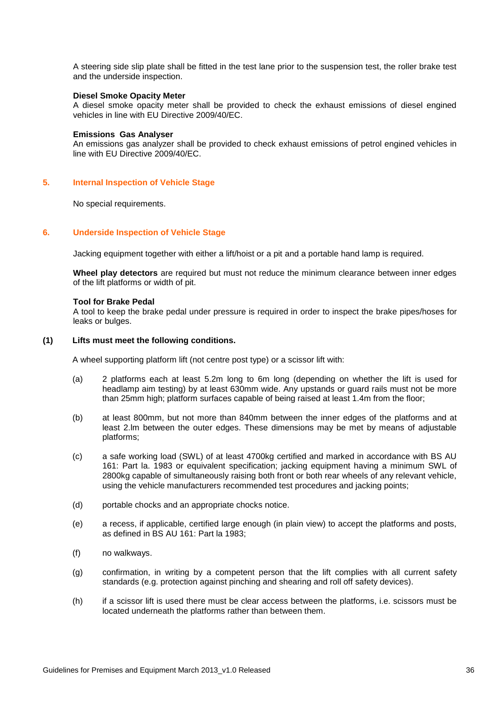A steering side slip plate shall be fitted in the test lane prior to the suspension test, the roller brake test and the underside inspection.

#### **Diesel Smoke Opacity Meter**

A diesel smoke opacity meter shall be provided to check the exhaust emissions of diesel engined vehicles in line with EU Directive 2009/40/EC.

#### **Emissions Gas Analyser**

An emissions gas analyzer shall be provided to check exhaust emissions of petrol engined vehicles in line with EU Directive 2009/40/EC.

#### <span id="page-35-0"></span>**5. Internal Inspection of Vehicle Stage**

No special requirements.

#### <span id="page-35-1"></span>**6. Underside Inspection of Vehicle Stage**

Jacking equipment together with either a lift/hoist or a pit and a portable hand lamp is required.

**Wheel play detectors** are required but must not reduce the minimum clearance between inner edges of the lift platforms or width of pit.

#### **Tool for Brake Pedal**

A tool to keep the brake pedal under pressure is required in order to inspect the brake pipes/hoses for leaks or bulges.

#### **(1) Lifts must meet the following conditions.**

A wheel supporting platform lift (not centre post type) or a scissor lift with:

- (a) 2 platforms each at least 5.2m long to 6m long (depending on whether the lift is used for headlamp aim testing) by at least 630mm wide. Any upstands or guard rails must not be more than 25mm high; platform surfaces capable of being raised at least 1.4m from the floor;
- (b) at least 800mm, but not more than 840mm between the inner edges of the platforms and at least 2.lm between the outer edges. These dimensions may be met by means of adjustable platforms;
- (c) a safe working load (SWL) of at least 4700kg certified and marked in accordance with BS AU 161: Part la. 1983 or equivalent specification; jacking equipment having a minimum SWL of 2800kg capable of simultaneously raising both front or both rear wheels of any relevant vehicle, using the vehicle manufacturers recommended test procedures and jacking points;
- (d) portable chocks and an appropriate chocks notice.
- (e) a recess, if applicable, certified large enough (in plain view) to accept the platforms and posts, as defined in BS AU 161: Part la 1983;
- (f) no walkways.
- (g) confirmation, in writing by a competent person that the lift complies with all current safety standards (e.g. protection against pinching and shearing and roll off safety devices).
- (h) if a scissor lift is used there must be clear access between the platforms, i.e. scissors must be located underneath the platforms rather than between them.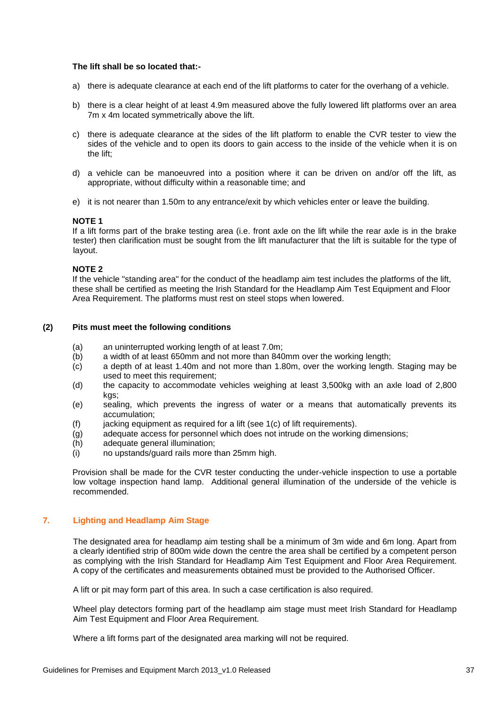#### **The lift shall be so located that:-**

- a) there is adequate clearance at each end of the lift platforms to cater for the overhang of a vehicle.
- b) there is a clear height of at least 4.9m measured above the fully lowered lift platforms over an area 7m x 4m located symmetrically above the lift.
- c) there is adequate clearance at the sides of the lift platform to enable the CVR tester to view the sides of the vehicle and to open its doors to gain access to the inside of the vehicle when it is on the lift;
- d) a vehicle can be manoeuvred into a position where it can be driven on and/or off the lift, as appropriate, without difficulty within a reasonable time; and
- e) it is not nearer than 1.50m to any entrance/exit by which vehicles enter or leave the building.

#### **NOTE 1**

If a lift forms part of the brake testing area (i.e. front axle on the lift while the rear axle is in the brake tester) then clarification must be sought from the lift manufacturer that the lift is suitable for the type of layout.

#### **NOTE 2**

If the vehicle "standing area" for the conduct of the headlamp aim test includes the platforms of the lift, these shall be certified as meeting the Irish Standard for the Headlamp Aim Test Equipment and Floor Area Requirement. The platforms must rest on steel stops when lowered.

#### **(2) Pits must meet the following conditions**

- (a) an uninterrupted working length of at least 7.0m;
- (b) a width of at least 650mm and not more than 840mm over the working length;
- (c) a depth of at least 1.40m and not more than 1.80m, over the working length. Staging may be used to meet this requirement;
- (d) the capacity to accommodate vehicles weighing at least 3,500kg with an axle load of 2,800 kgs;
- (e) sealing, which prevents the ingress of water or a means that automatically prevents its accumulation;
- $(f)$  jacking equipment as required for a lift (see 1(c) of lift requirements).
- (g) adequate access for personnel which does not intrude on the working dimensions;
- (h) adequate general illumination;
- (i) no upstands/guard rails more than 25mm high.

Provision shall be made for the CVR tester conducting the under-vehicle inspection to use a portable low voltage inspection hand lamp. Additional general illumination of the underside of the vehicle is recommended.

#### <span id="page-36-0"></span>**7. Lighting and Headlamp Aim Stage**

The designated area for headlamp aim testing shall be a minimum of 3m wide and 6m long. Apart from a clearly identified strip of 800m wide down the centre the area shall be certified by a competent person as complying with the Irish Standard for Headlamp Aim Test Equipment and Floor Area Requirement. A copy of the certificates and measurements obtained must be provided to the Authorised Officer.

A lift or pit may form part of this area. In such a case certification is also required.

Wheel play detectors forming part of the headlamp aim stage must meet Irish Standard for Headlamp Aim Test Equipment and Floor Area Requirement.

Where a lift forms part of the designated area marking will not be required.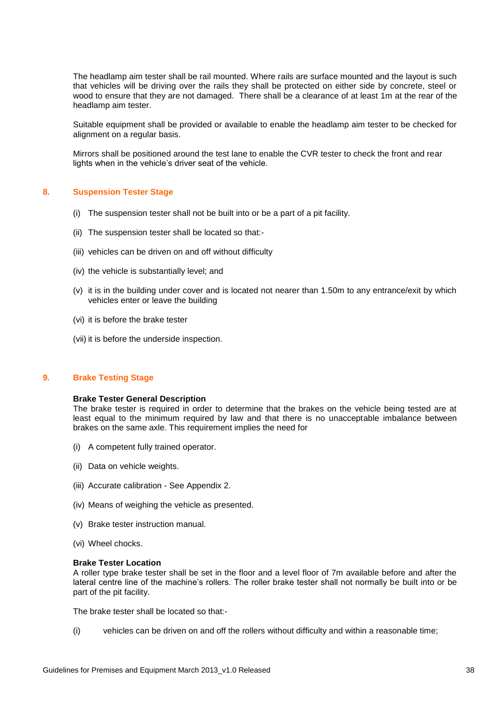The headlamp aim tester shall be rail mounted. Where rails are surface mounted and the layout is such that vehicles will be driving over the rails they shall be protected on either side by concrete, steel or wood to ensure that they are not damaged. There shall be a clearance of at least 1m at the rear of the headlamp aim tester.

Suitable equipment shall be provided or available to enable the headlamp aim tester to be checked for alignment on a regular basis.

Mirrors shall be positioned around the test lane to enable the CVR tester to check the front and rear lights when in the vehicle's driver seat of the vehicle.

#### <span id="page-37-0"></span>**8. Suspension Tester Stage**

- (i) The suspension tester shall not be built into or be a part of a pit facility.
- (ii) The suspension tester shall be located so that:-
- (iii) vehicles can be driven on and off without difficulty
- (iv) the vehicle is substantially level; and
- (v) it is in the building under cover and is located not nearer than 1.50m to any entrance/exit by which vehicles enter or leave the building
- (vi) it is before the brake tester
- (vii) it is before the underside inspection.

#### <span id="page-37-1"></span>**9. Brake Testing Stage**

#### **Brake Tester General Description**

The brake tester is required in order to determine that the brakes on the vehicle being tested are at least equal to the minimum required by law and that there is no unacceptable imbalance between brakes on the same axle. This requirement implies the need for

- (i) A competent fully trained operator.
- (ii) Data on vehicle weights.
- (iii) Accurate calibration See Appendix 2.
- (iv) Means of weighing the vehicle as presented.
- (v) Brake tester instruction manual.
- (vi) Wheel chocks.

#### **Brake Tester Location**

A roller type brake tester shall be set in the floor and a level floor of 7m available before and after the lateral centre line of the machine's rollers. The roller brake tester shall not normally be built into or be part of the pit facility.

The brake tester shall be located so that:-

(i) vehicles can be driven on and off the rollers without difficulty and within a reasonable time;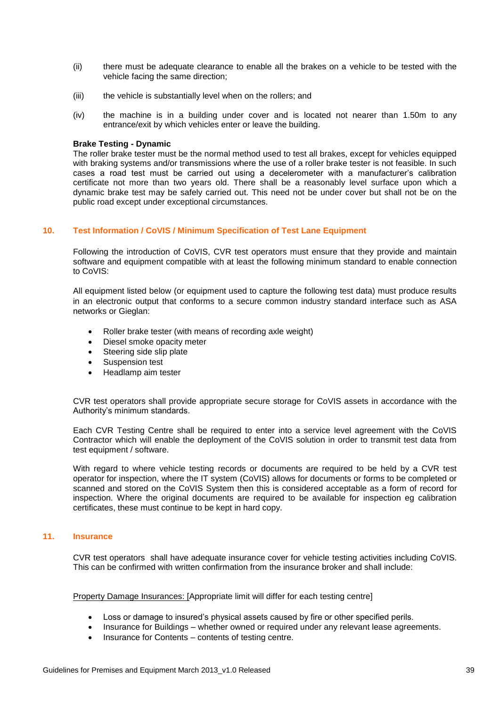- (ii) there must be adequate clearance to enable all the brakes on a vehicle to be tested with the vehicle facing the same direction;
- (iii) the vehicle is substantially level when on the rollers; and
- (iv) the machine is in a building under cover and is located not nearer than 1.50m to any entrance/exit by which vehicles enter or leave the building.

#### **Brake Testing - Dynamic**

The roller brake tester must be the normal method used to test all brakes, except for vehicles equipped with braking systems and/or transmissions where the use of a roller brake tester is not feasible. In such cases a road test must be carried out using a decelerometer with a manufacturer's calibration certificate not more than two years old. There shall be a reasonably level surface upon which a dynamic brake test may be safely carried out. This need not be under cover but shall not be on the public road except under exceptional circumstances.

#### <span id="page-38-0"></span>**10. Test Information / CoVIS / Minimum Specification of Test Lane Equipment**

Following the introduction of CoVIS, CVR test operators must ensure that they provide and maintain software and equipment compatible with at least the following minimum standard to enable connection to CoVIS:

All equipment listed below (or equipment used to capture the following test data) must produce results in an electronic output that conforms to a secure common industry standard interface such as ASA networks or Gieglan:

- Roller brake tester (with means of recording axle weight)
- Diesel smoke opacity meter
- Steering side slip plate
- Suspension test
- Headlamp aim tester

CVR test operators shall provide appropriate secure storage for CoVIS assets in accordance with the Authority's minimum standards.

Each CVR Testing Centre shall be required to enter into a service level agreement with the CoVIS Contractor which will enable the deployment of the CoVIS solution in order to transmit test data from test equipment / software.

With regard to where vehicle testing records or documents are required to be held by a CVR test operator for inspection, where the IT system (CoVIS) allows for documents or forms to be completed or scanned and stored on the CoVIS System then this is considered acceptable as a form of record for inspection. Where the original documents are required to be available for inspection eg calibration certificates, these must continue to be kept in hard copy.

#### <span id="page-38-1"></span>**11. Insurance**

CVR test operators shall have adequate insurance cover for vehicle testing activities including CoVIS. This can be confirmed with written confirmation from the insurance broker and shall include:

Property Damage Insurances: [Appropriate limit will differ for each testing centre]

- Loss or damage to insured's physical assets caused by fire or other specified perils.
- Insurance for Buildings whether owned or required under any relevant lease agreements.
- Insurance for Contents contents of testing centre.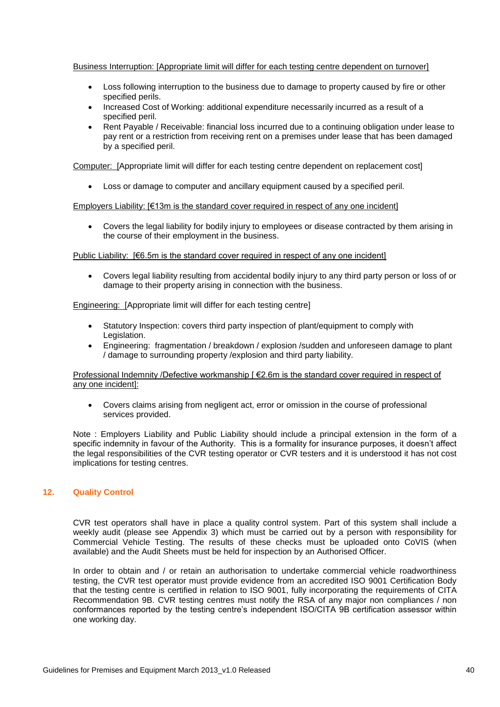#### Business Interruption: [Appropriate limit will differ for each testing centre dependent on turnover]

- Loss following interruption to the business due to damage to property caused by fire or other specified perils.
- Increased Cost of Working: additional expenditure necessarily incurred as a result of a specified peril.
- Rent Payable / Receivable: financial loss incurred due to a continuing obligation under lease to pay rent or a restriction from receiving rent on a premises under lease that has been damaged by a specified peril.

Computer: [Appropriate limit will differ for each testing centre dependent on replacement cost]

Loss or damage to computer and ancillary equipment caused by a specified peril.

Employers Liability: [€13m is the standard cover required in respect of any one incident]

 Covers the legal liability for bodily injury to employees or disease contracted by them arising in the course of their employment in the business.

Public Liability:  $F \in \mathbb{6}$ .5m is the standard cover required in respect of any one incident

 Covers legal liability resulting from accidental bodily injury to any third party person or loss of or damage to their property arising in connection with the business.

Engineering: [Appropriate limit will differ for each testing centre]

- Statutory Inspection: covers third party inspection of plant/equipment to comply with Legislation.
- Engineering: fragmentation / breakdown / explosion /sudden and unforeseen damage to plant / damage to surrounding property /explosion and third party liability.

#### Professional Indemnity /Defective workmanship [ €2.6m is the standard cover required in respect of any one incident]:

 Covers claims arising from negligent act, error or omission in the course of professional services provided.

Note : Employers Liability and Public Liability should include a principal extension in the form of a specific indemnity in favour of the Authority. This is a formality for insurance purposes, it doesn't affect the legal responsibilities of the CVR testing operator or CVR testers and it is understood it has not cost implications for testing centres.

#### <span id="page-39-0"></span>**12. Quality Control**

CVR test operators shall have in place a quality control system. Part of this system shall include a weekly audit (please see Appendix 3) which must be carried out by a person with responsibility for Commercial Vehicle Testing. The results of these checks must be uploaded onto CoVIS (when available) and the Audit Sheets must be held for inspection by an Authorised Officer.

In order to obtain and / or retain an authorisation to undertake commercial vehicle roadworthiness testing, the CVR test operator must provide evidence from an accredited ISO 9001 Certification Body that the testing centre is certified in relation to ISO 9001, fully incorporating the requirements of CITA Recommendation 9B. CVR testing centres must notify the RSA of any major non compliances / non conformances reported by the testing centre's independent ISO/CITA 9B certification assessor within one working day.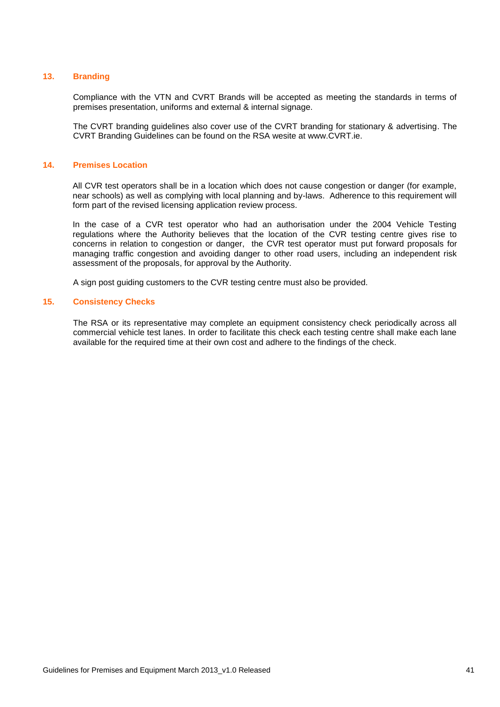#### <span id="page-40-0"></span>**13. Branding**

Compliance with the VTN and CVRT Brands will be accepted as meeting the standards in terms of premises presentation, uniforms and external & internal signage.

The CVRT branding guidelines also cover use of the CVRT branding for stationary & advertising. The CVRT Branding Guidelines can be found on the RSA wesite at www.CVRT.ie.

#### <span id="page-40-1"></span>**14. Premises Location**

All CVR test operators shall be in a location which does not cause congestion or danger (for example, near schools) as well as complying with local planning and by-laws. Adherence to this requirement will form part of the revised licensing application review process.

In the case of a CVR test operator who had an authorisation under the 2004 Vehicle Testing regulations where the Authority believes that the location of the CVR testing centre gives rise to concerns in relation to congestion or danger, the CVR test operator must put forward proposals for managing traffic congestion and avoiding danger to other road users, including an independent risk assessment of the proposals, for approval by the Authority.

A sign post guiding customers to the CVR testing centre must also be provided.

#### <span id="page-40-2"></span>**15. Consistency Checks**

The RSA or its representative may complete an equipment consistency check periodically across all commercial vehicle test lanes. In order to facilitate this check each testing centre shall make each lane available for the required time at their own cost and adhere to the findings of the check.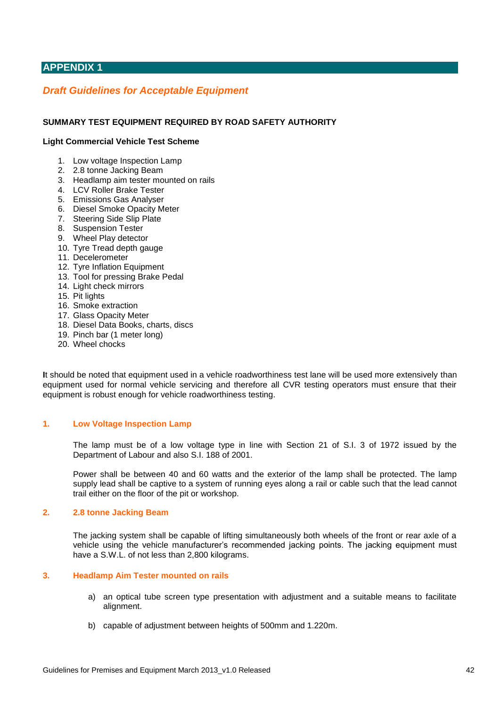## <span id="page-41-0"></span>**APPENDIX 1**

## <span id="page-41-1"></span>*Draft Guidelines for Acceptable Equipment*

#### **SUMMARY TEST EQUIPMENT REQUIRED BY ROAD SAFETY AUTHORITY**

#### **Light Commercial Vehicle Test Scheme**

- 1. Low voltage Inspection Lamp
- 2. 2.8 tonne Jacking Beam
- 3. Headlamp aim tester mounted on rails
- 4. LCV Roller Brake Tester
- 5. Emissions Gas Analyser
- 6. Diesel Smoke Opacity Meter
- 7. Steering Side Slip Plate
- 8. Suspension Tester
- 9. Wheel Play detector
- 10. Tyre Tread depth gauge
- 11. Decelerometer
- 12. Tyre Inflation Equipment
- 13. Tool for pressing Brake Pedal
- 14. Light check mirrors
- 15. Pit lights
- 16. Smoke extraction
- 17. Glass Opacity Meter
- 18. Diesel Data Books, charts, discs
- 19. Pinch bar (1 meter long)
- 20. Wheel chocks

**I**t should be noted that equipment used in a vehicle roadworthiness test lane will be used more extensively than equipment used for normal vehicle servicing and therefore all CVR testing operators must ensure that their equipment is robust enough for vehicle roadworthiness testing.

#### <span id="page-41-2"></span>**1. Low Voltage Inspection Lamp**

The lamp must be of a low voltage type in line with Section 21 of S.I. 3 of 1972 issued by the Department of Labour and also S.I. 188 of 2001.

Power shall be between 40 and 60 watts and the exterior of the lamp shall be protected. The lamp supply lead shall be captive to a system of running eyes along a rail or cable such that the lead cannot trail either on the floor of the pit or workshop.

#### <span id="page-41-3"></span>**2. 2.8 tonne Jacking Beam**

The jacking system shall be capable of lifting simultaneously both wheels of the front or rear axle of a vehicle using the vehicle manufacturer's recommended jacking points. The jacking equipment must have a S.W.L. of not less than 2,800 kilograms.

#### <span id="page-41-4"></span>**3. Headlamp Aim Tester mounted on rails**

- a) an optical tube screen type presentation with adjustment and a suitable means to facilitate alignment.
- b) capable of adjustment between heights of 500mm and 1.220m.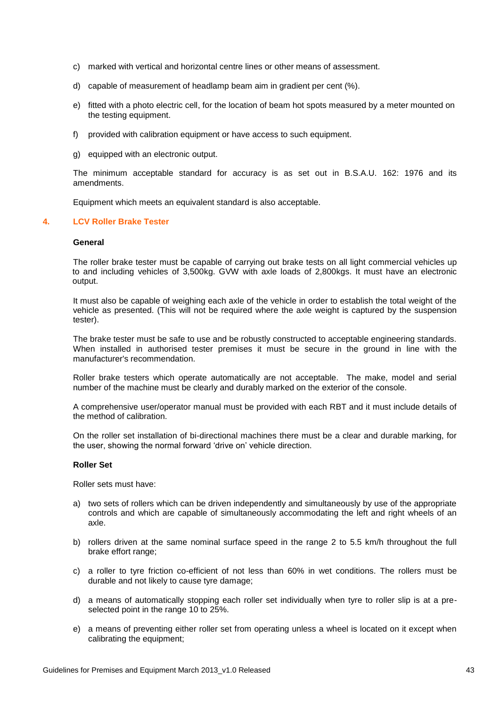- c) marked with vertical and horizontal centre lines or other means of assessment.
- d) capable of measurement of headlamp beam aim in gradient per cent (%).
- e) fitted with a photo electric cell, for the location of beam hot spots measured by a meter mounted on the testing equipment.
- f) provided with calibration equipment or have access to such equipment.
- g) equipped with an electronic output.

The minimum acceptable standard for accuracy is as set out in B.S.A.U. 162: 1976 and its amendments.

Equipment which meets an equivalent standard is also acceptable.

#### <span id="page-42-0"></span>**4. LCV Roller Brake Tester**

#### **General**

The roller brake tester must be capable of carrying out brake tests on all light commercial vehicles up to and including vehicles of 3,500kg. GVW with axle loads of 2,800kgs. It must have an electronic output.

It must also be capable of weighing each axle of the vehicle in order to establish the total weight of the vehicle as presented. (This will not be required where the axle weight is captured by the suspension tester).

The brake tester must be safe to use and be robustly constructed to acceptable engineering standards. When installed in authorised tester premises it must be secure in the ground in line with the manufacturer's recommendation.

Roller brake testers which operate automatically are not acceptable. The make, model and serial number of the machine must be clearly and durably marked on the exterior of the console.

A comprehensive user/operator manual must be provided with each RBT and it must include details of the method of calibration.

On the roller set installation of bi-directional machines there must be a clear and durable marking, for the user, showing the normal forward 'drive on' vehicle direction.

#### **Roller Set**

Roller sets must have:

- a) two sets of rollers which can be driven independently and simultaneously by use of the appropriate controls and which are capable of simultaneously accommodating the left and right wheels of an axle.
- b) rollers driven at the same nominal surface speed in the range 2 to 5.5 km/h throughout the full brake effort range;
- c) a roller to tyre friction co-efficient of not less than 60% in wet conditions. The rollers must be durable and not likely to cause tyre damage;
- d) a means of automatically stopping each roller set individually when tyre to roller slip is at a preselected point in the range 10 to 25%.
- e) a means of preventing either roller set from operating unless a wheel is located on it except when calibrating the equipment;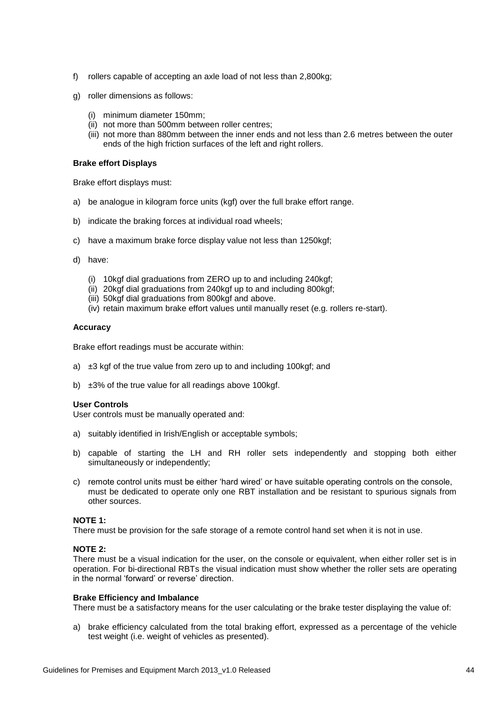- f) rollers capable of accepting an axle load of not less than 2,800kg;
- g) roller dimensions as follows:
	- (i) minimum diameter 150mm;
	- (ii) not more than 500mm between roller centres;
	- (iii) not more than 880mm between the inner ends and not less than 2.6 metres between the outer ends of the high friction surfaces of the left and right rollers.

#### **Brake effort Displays**

Brake effort displays must:

- a) be analogue in kilogram force units (kgf) over the full brake effort range.
- b) indicate the braking forces at individual road wheels;
- c) have a maximum brake force display value not less than 1250kgf;
- d) have:
	- (i) 10kgf dial graduations from ZERO up to and including 240kgf;
	- (ii) 20kgf dial graduations from 240kgf up to and including 800kgf;
	- (iii) 50kgf dial graduations from 800kgf and above.
	- (iv) retain maximum brake effort values until manually reset (e.g. rollers re-start).

#### **Accuracy**

Brake effort readings must be accurate within:

- a) ±3 kgf of the true value from zero up to and including 100kgf; and
- b)  $\pm 3\%$  of the true value for all readings above 100 kgf.

#### **User Controls**

User controls must be manually operated and:

- a) suitably identified in Irish/English or acceptable symbols;
- b) capable of starting the LH and RH roller sets independently and stopping both either simultaneously or independently;
- c) remote control units must be either 'hard wired' or have suitable operating controls on the console, must be dedicated to operate only one RBT installation and be resistant to spurious signals from other sources.

#### **NOTE 1:**

There must be provision for the safe storage of a remote control hand set when it is not in use.

#### **NOTE 2:**

There must be a visual indication for the user, on the console or equivalent, when either roller set is in operation. For bi-directional RBTs the visual indication must show whether the roller sets are operating in the normal 'forward' or reverse' direction.

#### **Brake Efficiency and Imbalance**

There must be a satisfactory means for the user calculating or the brake tester displaying the value of:

a) brake efficiency calculated from the total braking effort, expressed as a percentage of the vehicle test weight (i.e. weight of vehicles as presented).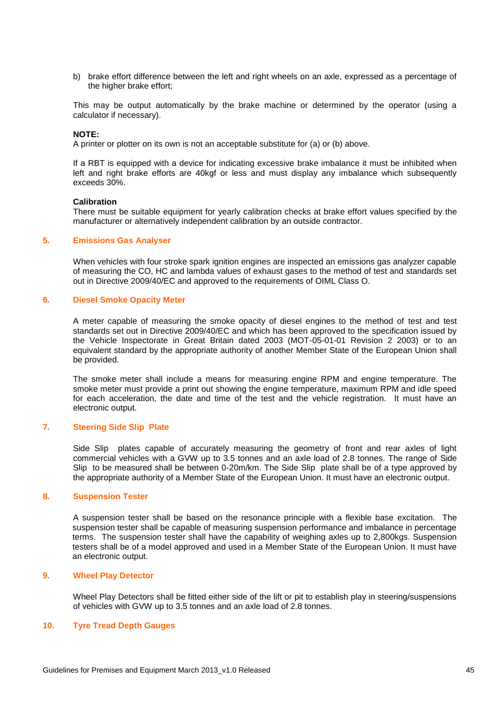b) brake effort difference between the left and right wheels on an axle, expressed as a percentage of the higher brake effort;

This may be output automatically by the brake machine or determined by the operator (using a calculator if necessary).

#### **NOTE:**

A printer or plotter on its own is not an acceptable substitute for (a) or (b) above.

If a RBT is equipped with a device for indicating excessive brake imbalance it must be inhibited when left and right brake efforts are 40kgf or less and must display any imbalance which subsequently exceeds 30%.

#### **Calibration**

There must be suitable equipment for yearly calibration checks at brake effort values specified by the manufacturer or alternatively independent calibration by an outside contractor.

#### <span id="page-44-0"></span>**5. Emissions Gas Analyser**

When vehicles with four stroke spark ignition engines are inspected an emissions gas analyzer capable of measuring the CO, HC and lambda values of exhaust gases to the method of test and standards set out in Directive 2009/40/EC and approved to the requirements of OIML Class O.

#### <span id="page-44-1"></span>**6. Diesel Smoke Opacity Meter**

A meter capable of measuring the smoke opacity of diesel engines to the method of test and test standards set out in Directive 2009/40/EC and which has been approved to the specification issued by the Vehicle Inspectorate in Great Britain dated 2003 (MOT-05-01-01 Revision 2 2003) or to an equivalent standard by the appropriate authority of another Member State of the European Union shall be provided.

The smoke meter shall include a means for measuring engine RPM and engine temperature. The smoke meter must provide a print out showing the engine temperature, maximum RPM and idle speed for each acceleration, the date and time of the test and the vehicle registration. It must have an electronic output.

#### <span id="page-44-2"></span>**7. Steering Side Slip Plate**

Side Slip plates capable of accurately measuring the geometry of front and rear axles of light commercial vehicles with a GVW up to 3.5 tonnes and an axle load of 2.8 tonnes. The range of Side Slip to be measured shall be between 0-20m/km. The Side Slip plate shall be of a type approved by the appropriate authority of a Member State of the European Union. It must have an electronic output.

#### <span id="page-44-3"></span>**8. Suspension Tester**

A suspension tester shall be based on the resonance principle with a flexible base excitation. The suspension tester shall be capable of measuring suspension performance and imbalance in percentage terms. The suspension tester shall have the capability of weighing axles up to 2,800kgs. Suspension testers shall be of a model approved and used in a Member State of the European Union. It must have an electronic output.

#### <span id="page-44-4"></span>**9. Wheel Play Detector**

Wheel Play Detectors shall be fitted either side of the lift or pit to establish play in steering/suspensions of vehicles with GVW up to 3.5 tonnes and an axle load of 2.8 tonnes.

#### <span id="page-44-5"></span>**10. Tyre Tread Depth Gauges**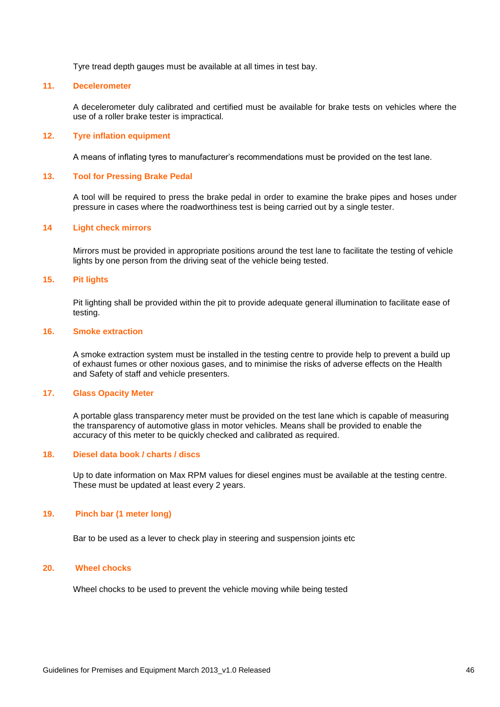Tyre tread depth gauges must be available at all times in test bay.

#### <span id="page-45-0"></span>**11. Decelerometer**

A decelerometer duly calibrated and certified must be available for brake tests on vehicles where the use of a roller brake tester is impractical.

#### <span id="page-45-1"></span>**12. Tyre inflation equipment**

A means of inflating tyres to manufacturer's recommendations must be provided on the test lane.

#### <span id="page-45-2"></span>**13. Tool for Pressing Brake Pedal**

A tool will be required to press the brake pedal in order to examine the brake pipes and hoses under pressure in cases where the roadworthiness test is being carried out by a single tester.

#### <span id="page-45-3"></span>**14 Light check mirrors**

Mirrors must be provided in appropriate positions around the test lane to facilitate the testing of vehicle lights by one person from the driving seat of the vehicle being tested.

#### <span id="page-45-4"></span>**15. Pit lights**

Pit lighting shall be provided within the pit to provide adequate general illumination to facilitate ease of testing.

#### <span id="page-45-5"></span>**16. Smoke extraction**

A smoke extraction system must be installed in the testing centre to provide help to prevent a build up of exhaust fumes or other noxious gases, and to minimise the risks of adverse effects on the Health and Safety of staff and vehicle presenters.

#### <span id="page-45-6"></span>**17. Glass Opacity Meter**

A portable glass transparency meter must be provided on the test lane which is capable of measuring the transparency of automotive glass in motor vehicles. Means shall be provided to enable the accuracy of this meter to be quickly checked and calibrated as required.

#### <span id="page-45-7"></span>**18. Diesel data book / charts / discs**

Up to date information on Max RPM values for diesel engines must be available at the testing centre. These must be updated at least every 2 years.

#### <span id="page-45-8"></span>**19. Pinch bar (1 meter long)**

Bar to be used as a lever to check play in steering and suspension joints etc

#### <span id="page-45-9"></span>**20. Wheel chocks**

Wheel chocks to be used to prevent the vehicle moving while being tested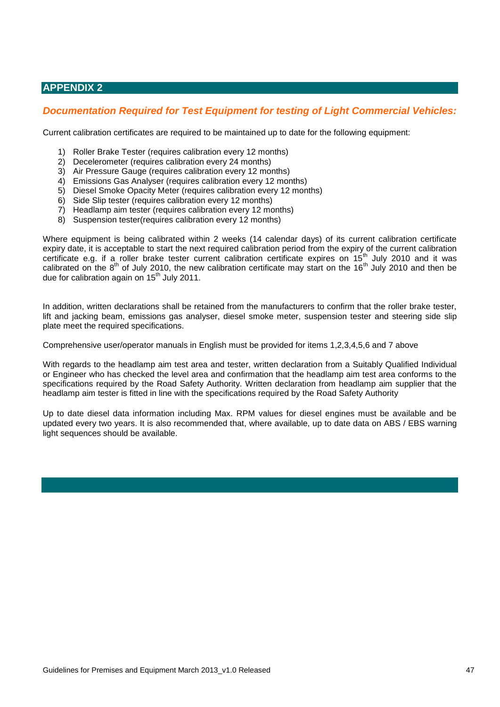## <span id="page-46-0"></span>**APPENDIX 2**

## <span id="page-46-1"></span>*Documentation Required for Test Equipment for testing of Light Commercial Vehicles:*

Current calibration certificates are required to be maintained up to date for the following equipment:

- 1) Roller Brake Tester (requires calibration every 12 months)
- 2) Decelerometer (requires calibration every 24 months)
- 3) Air Pressure Gauge (requires calibration every 12 months)
- 4) Emissions Gas Analyser (requires calibration every 12 months)
- 5) Diesel Smoke Opacity Meter (requires calibration every 12 months)
- 6) Side Slip tester (requires calibration every 12 months)
- 7) Headlamp aim tester (requires calibration every 12 months)
- 8) Suspension tester(requires calibration every 12 months)

Where equipment is being calibrated within 2 weeks (14 calendar days) of its current calibration certificate expiry date, it is acceptable to start the next required calibration period from the expiry of the current calibration certificate e.g. if a roller brake tester current calibration certificate expires on 15<sup>th</sup> July 2010 and it was calibrated on the  $8<sup>th</sup>$  of July 2010, the new calibration certificate may start on the 16<sup>th</sup> July 2010 and then be due for calibration again on 15<sup>th</sup> July 2011.

In addition, written declarations shall be retained from the manufacturers to confirm that the roller brake tester, lift and jacking beam, emissions gas analyser, diesel smoke meter, suspension tester and steering side slip plate meet the required specifications.

Comprehensive user/operator manuals in English must be provided for items 1,2,3,4,5,6 and 7 above

With regards to the headlamp aim test area and tester, written declaration from a Suitably Qualified Individual or Engineer who has checked the level area and confirmation that the headlamp aim test area conforms to the specifications required by the Road Safety Authority. Written declaration from headlamp aim supplier that the headlamp aim tester is fitted in line with the specifications required by the Road Safety Authority

Up to date diesel data information including Max. RPM values for diesel engines must be available and be updated every two years. It is also recommended that, where available, up to date data on ABS / EBS warning light sequences should be available.